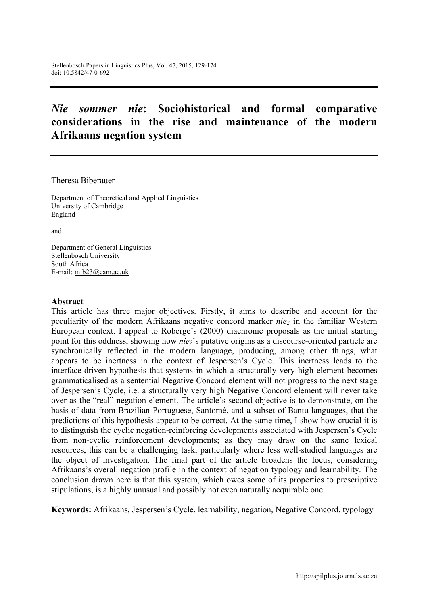# *Nie sommer nie***: Sociohistorical and formal comparative considerations in the rise and maintenance of the modern Afrikaans negation system**

Theresa Biberauer

Department of Theoretical and Applied Linguistics University of Cambridge England

and

Department of General Linguistics Stellenbosch University South Africa E-mail: mtb23@cam.ac.uk

#### **Abstract**

This article has three major objectives. Firstly, it aims to describe and account for the peculiarity of the modern Afrikaans negative concord marker *nie*<sub>2</sub> in the familiar Western European context. I appeal to Roberge's (2000) diachronic proposals as the initial starting point for this oddness, showing how *nie*<sub>2</sub>'s putative origins as a discourse-oriented particle are synchronically reflected in the modern language, producing, among other things, what appears to be inertness in the context of Jespersen's Cycle. This inertness leads to the interface-driven hypothesis that systems in which a structurally very high element becomes grammaticalised as a sentential Negative Concord element will not progress to the next stage of Jespersen's Cycle, i.e. a structurally very high Negative Concord element will never take over as the "real" negation element. The article's second objective is to demonstrate, on the basis of data from Brazilian Portuguese, Santomé, and a subset of Bantu languages, that the predictions of this hypothesis appear to be correct. At the same time, I show how crucial it is to distinguish the cyclic negation-reinforcing developments associated with Jespersen's Cycle from non-cyclic reinforcement developments; as they may draw on the same lexical resources, this can be a challenging task, particularly where less well-studied languages are the object of investigation. The final part of the article broadens the focus, considering Afrikaans's overall negation profile in the context of negation typology and learnability. The conclusion drawn here is that this system, which owes some of its properties to prescriptive stipulations, is a highly unusual and possibly not even naturally acquirable one.

**Keywords:** Afrikaans, Jespersen's Cycle, learnability, negation, Negative Concord, typology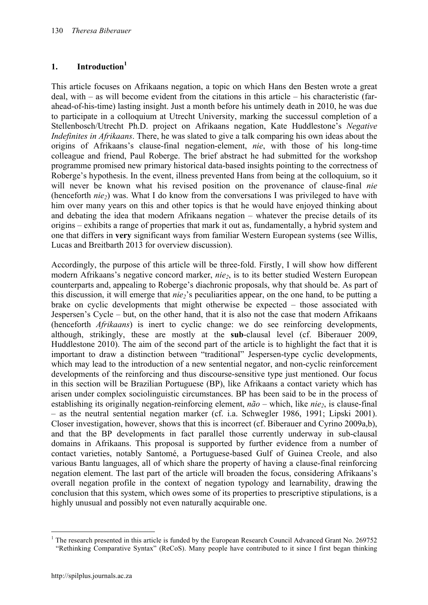# 1. **Introduction**<sup>1</sup>

This article focuses on Afrikaans negation, a topic on which Hans den Besten wrote a great deal, with – as will become evident from the citations in this article – his characteristic (farahead-of-his-time) lasting insight. Just a month before his untimely death in 2010, he was due to participate in a colloquium at Utrecht University, marking the successul completion of a Stellenbosch/Utrecht Ph.D. project on Afrikaans negation, Kate Huddlestone's *Negative Indefinites in Afrikaans*. There, he was slated to give a talk comparing his own ideas about the origins of Afrikaans's clause-final negation-element, *nie*, with those of his long-time colleague and friend, Paul Roberge. The brief abstract he had submitted for the workshop programme promised new primary historical data-based insights pointing to the correctness of Roberge's hypothesis. In the event, illness prevented Hans from being at the colloquium, so it will never be known what his revised position on the provenance of clause-final *nie* (henceforth *nie2*) was. What I do know from the conversations I was privileged to have with him over many years on this and other topics is that he would have enjoyed thinking about and debating the idea that modern Afrikaans negation – whatever the precise details of its origins – exhibits a range of properties that mark it out as, fundamentally, a hybrid system and one that differs in **very** significant ways from familiar Western European systems (see Willis, Lucas and Breitbarth 2013 for overview discussion).

Accordingly, the purpose of this article will be three-fold. Firstly, I will show how different modern Afrikaans's negative concord marker, *nie2*, is to its better studied Western European counterparts and, appealing to Roberge's diachronic proposals, why that should be. As part of this discussion, it will emerge that *nie*<sub>2</sub>'s peculiarities appear, on the one hand, to be putting a brake on cyclic developments that might otherwise be expected – those associated with Jespersen's Cycle – but, on the other hand, that it is also not the case that modern Afrikaans (henceforth *Afrikaans*) is inert to cyclic change: we do see reinforcing developments, although, strikingly, these are mostly at the **sub**-clausal level (cf. Biberauer 2009, Huddlestone 2010). The aim of the second part of the article is to highlight the fact that it is important to draw a distinction between "traditional" Jespersen-type cyclic developments, which may lead to the introduction of a new sentential negator, and non-cyclic reinforcement developments of the reinforcing and thus discourse-sensitive type just mentioned. Our focus in this section will be Brazilian Portuguese (BP), like Afrikaans a contact variety which has arisen under complex sociolinguistic circumstances. BP has been said to be in the process of establishing its originally negation-reinforcing element,  $n\tilde{a}o$  – which, like  $nie_2$ , is clause-final – as the neutral sentential negation marker (cf. i.a. Schwegler 1986, 1991; Lipski 2001). Closer investigation, however, shows that this is incorrect (cf. Biberauer and Cyrino 2009a,b), and that the BP developments in fact parallel those currently underway in sub-clausal domains in Afrikaans. This proposal is supported by further evidence from a number of contact varieties, notably Santomé, a Portuguese-based Gulf of Guinea Creole, and also various Bantu languages, all of which share the property of having a clause-final reinforcing negation element. The last part of the article will broaden the focus, considering Afrikaans's overall negation profile in the context of negation typology and learnability, drawing the conclusion that this system, which owes some of its properties to prescriptive stipulations, is a highly unusual and possibly not even naturally acquirable one.

<sup>&</sup>lt;sup>1</sup> The research presented in this article is funded by the European Research Council Advanced Grant No. 269752 "Rethinking Comparative Syntax" (ReCoS). Many people have contributed to it since I first began thinking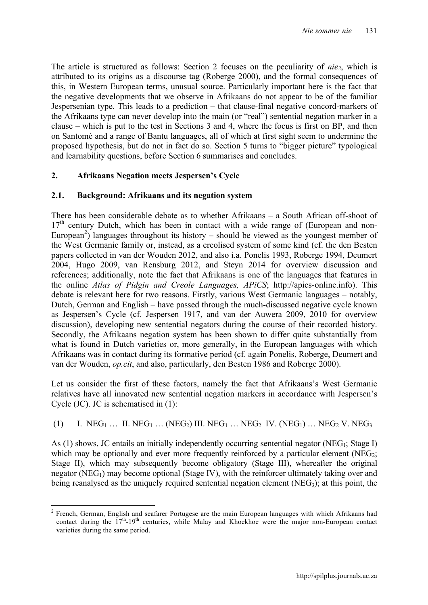The article is structured as follows: Section 2 focuses on the peculiarity of *nie2*, which is attributed to its origins as a discourse tag (Roberge 2000), and the formal consequences of this, in Western European terms, unusual source. Particularly important here is the fact that the negative developments that we observe in Afrikaans do not appear to be of the familiar Jespersenian type. This leads to a prediction – that clause-final negative concord-markers of the Afrikaans type can never develop into the main (or "real") sentential negation marker in a clause – which is put to the test in Sections 3 and 4, where the focus is first on BP, and then on Santomé and a range of Bantu languages, all of which at first sight seem to undermine the proposed hypothesis, but do not in fact do so. Section 5 turns to "bigger picture" typological and learnability questions, before Section 6 summarises and concludes.

# **2. Afrikaans Negation meets Jespersen's Cycle**

# **2.1. Background: Afrikaans and its negation system**

There has been considerable debate as to whether Afrikaans – a South African off-shoot of  $17<sup>th</sup>$  century Dutch, which has been in contact with a wide range of (European and non-European<sup>2</sup>) languages throughout its history – should be viewed as the youngest member of the West Germanic family or, instead, as a creolised system of some kind (cf. the den Besten papers collected in van der Wouden 2012, and also i.a. Ponelis 1993, Roberge 1994, Deumert 2004, Hugo 2009, van Rensburg 2012, and Steyn 2014 for overview discussion and references; additionally, note the fact that Afrikaans is one of the languages that features in the online *Atlas of Pidgin and Creole Languages, APiCS*; http://apics-online.info). This debate is relevant here for two reasons. Firstly, various West Germanic languages – notably, Dutch, German and English – have passed through the much-discussed negative cycle known as Jespersen's Cycle (cf. Jespersen 1917, and van der Auwera 2009, 2010 for overview discussion), developing new sentential negators during the course of their recorded history. Secondly, the Afrikaans negation system has been shown to differ quite substantially from what is found in Dutch varieties or, more generally, in the European languages with which Afrikaans was in contact during its formative period (cf. again Ponelis, Roberge, Deumert and van der Wouden, *op.cit*, and also, particularly, den Besten 1986 and Roberge 2000).

Let us consider the first of these factors, namely the fact that Afrikaans's West Germanic relatives have all innovated new sentential negation markers in accordance with Jespersen's Cycle (JC). JC is schematised in (1):

(1) I.  $NEG_{1}...$  II.  $NEG_{1}...$  ( $NEG_{2}$ ) III.  $NEG_{1}...$   $NEG_{2}$  IV. ( $NEG_{1}...$   $NEG_{2}$  V.  $NEG_{3}$ )

As  $(1)$  shows, JC entails an initially independently occurring sentential negator (NEG<sub>1</sub>; Stage I) which may be optionally and ever more frequently reinforced by a particular element (NEG<sub>2</sub>; Stage II), which may subsequently become obligatory (Stage III), whereafter the original negator ( $NEG_{1}$ ) may become optional (Stage IV), with the reinforcer ultimately taking over and being reanalysed as the uniquely required sentential negation element ( $NEG<sub>3</sub>$ ); at this point, the

<sup>&</sup>lt;sup>2</sup> French, German, English and seafarer Portugese are the main European languages with which Afrikaans had contact during the  $17<sup>th</sup>$ -19<sup>th</sup> centuries, while Malay and Khoekhoe were the major non-European contact varieties during the same period.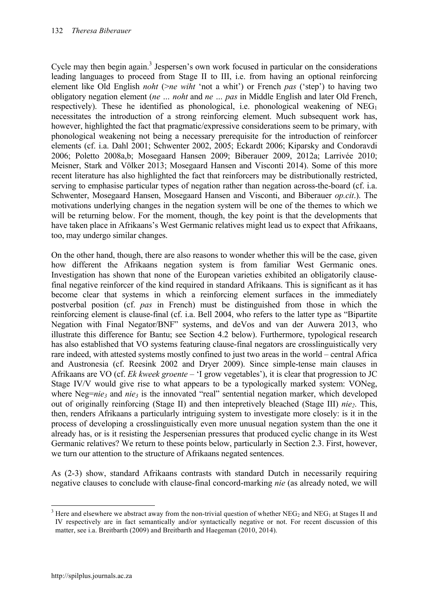Cycle may then begin again.<sup>3</sup> Jespersen's own work focused in particular on the considerations leading languages to proceed from Stage II to III, i.e. from having an optional reinforcing element like Old English *noht* (>*ne wiht* 'not a whit') or French *pas* ('step') to having two obligatory negation element (*ne … noht* and *ne … pas* in Middle English and later Old French, respectively). These he identified as phonological, i.e. phonological weakening of  $NEG_{1}$ necessitates the introduction of a strong reinforcing element. Much subsequent work has, however, highlighted the fact that pragmatic/expressive considerations seem to be primary, with phonological weakening not being a necessary prerequisite for the introduction of reinforcer elements (cf. i.a. Dahl 2001; Schwenter 2002, 2005; Eckardt 2006; Kiparsky and Condoravdi 2006; Poletto 2008a,b; Mosegaard Hansen 2009; Biberauer 2009, 2012a; Larrivée 2010; Meisner, Stark and Völker 2013; Mosegaard Hansen and Visconti 2014). Some of this more recent literature has also highlighted the fact that reinforcers may be distributionally restricted, serving to emphasise particular types of negation rather than negation across-the-board (cf. i.a. Schwenter, Mosegaard Hansen, Mosegaard Hansen and Visconti, and Biberauer *op.cit*.). The motivations underlying changes in the negation system will be one of the themes to which we will be returning below. For the moment, though, the key point is that the developments that have taken place in Afrikaans's West Germanic relatives might lead us to expect that Afrikaans, too, may undergo similar changes.

On the other hand, though, there are also reasons to wonder whether this will be the case, given how different the Afrikaans negation system is from familiar West Germanic ones. Investigation has shown that none of the European varieties exhibited an obligatorily clausefinal negative reinforcer of the kind required in standard Afrikaans. This is significant as it has become clear that systems in which a reinforcing element surfaces in the immediately postverbal position (cf. *pas* in French) must be distinguished from those in which the reinforcing element is clause-final (cf. i.a. Bell 2004, who refers to the latter type as "Bipartite Negation with Final Negator/BNF" systems, and deVos and van der Auwera 2013, who illustrate this difference for Bantu; see Section 4.2 below). Furthermore, typological research has also established that VO systems featuring clause-final negators are crosslinguistically very rare indeed, with attested systems mostly confined to just two areas in the world – central Africa and Austronesia (cf. Reesink 2002 and Dryer 2009). Since simple-tense main clauses in Afrikaans are VO (cf. *Ek kweek groente* – 'I grow vegetables'), it is clear that progression to JC Stage IV/V would give rise to what appears to be a typologically marked system: VONeg, where Neg=*nie<sub>3</sub>* and *nie<sub>3</sub>* is the innovated "real" sentential negation marker, which developed out of originally reinforcing (Stage II) and then intepretively bleached (Stage III) *nie*<sub>2</sub>. This, then, renders Afrikaans a particularly intriguing system to investigate more closely: is it in the process of developing a crosslinguistically even more unusual negation system than the one it already has, or is it resisting the Jespersenian pressures that produced cyclic change in its West Germanic relatives? We return to these points below, particularly in Section 2.3. First, however, we turn our attention to the structure of Afrikaans negated sentences.

As (2-3) show, standard Afrikaans contrasts with standard Dutch in necessarily requiring negative clauses to conclude with clause-final concord-marking *nie* (as already noted, we will

<sup>&</sup>lt;sup>3</sup> Here and elsewhere we abstract away from the non-trivial question of whether  $NEG_{2}$  and  $NEG_{1}$  at Stages II and IV respectively are in fact semantically and/or syntactically negative or not. For recent discussion of this matter, see i.a. Breitbarth (2009) and Breitbarth and Haegeman (2010, 2014).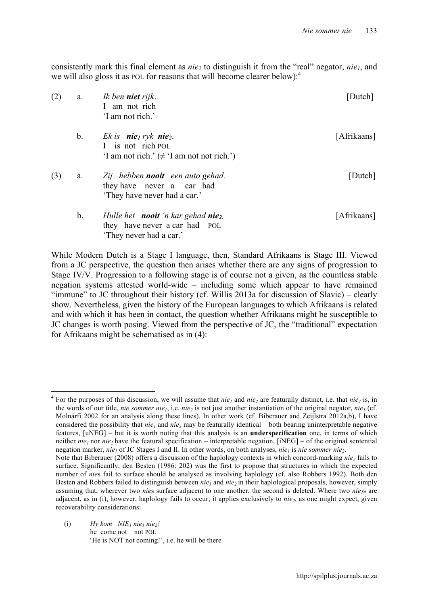consistently mark this final element as *nie*<sub>2</sub> to distinguish it from the "real" negator, *nie*<sub>1</sub>, and we will also gloss it as POL for reasons that will become clearer below): $<sup>4</sup>$ </sup>

| (2) |             | a. Ik ben <b>niet</b> rijk.<br>I am not rich<br>'I am not rich.'                                                                   | [Dutch]     |
|-----|-------------|------------------------------------------------------------------------------------------------------------------------------------|-------------|
|     | $b_{\cdot}$ | Ek is <b>nie</b> <sub>l</sub> ryk <b>nie</b> <sub>2</sub> .<br>I is not rich POL<br>'I am not rich.' $(\neq$ 'I am not not rich.') | [Afrikaans] |
| (3) | a.          | Zij hebben nooit een auto gehad.<br>they have never a car had<br>'They have never had a car.'                                      | [Dutch]     |
|     | b.          | Hulle het <b>nooit</b> 'n kar gehad <b>nie</b> <sub>2</sub> .<br>they have never a car had POL<br>'They never had a car.'          | [Afrikaans] |

While Modern Dutch is a Stage I language, then, Standard Afrikaans is Stage III. Viewed from a JC perspective, the question then arises whether there are any signs of progression to Stage IV/V. Progression to a following stage is of course not a given, as the countless stable negation systems attested world-wide – including some which appear to have remained "immune" to JC throughout their history (cf. Willis 2013a for discussion of Slavic) – clearly show. Nevertheless, given the history of the European languages to which Afrikaans is related and with which it has been in contact, the question whether Afrikaans might be susceptible to JC changes is worth posing. Viewed from the perspective of JC, the "traditional" expectation for Afrikaans might be schematised as in (4):

(i)  $Hy \text{ kom } NIE_1 \text{ nie}_1 \text{ nie}_2!$ he come not not POL 'He is NOT not coming!', i.e. he will be there

<sup>&</sup>lt;sup>4</sup> For the purposes of this discussion, we will assume that  $nie_1$  and  $nie_2$  are featurally distinct, i.e. that  $nie_2$  is, in the words of our title, *nie sommer nie<sub>1</sub>*, i.e. *nie<sub>2</sub>* is not just another instantiation of the original negator, *nie<sub>1</sub>* (cf. Molnárfi 2002 for an analysis along these lines). In other work (cf. Biberauer and Zeijlstra 2012a,b), I have considered the possibility that  $nie_1$  and  $nie_2$  may be featurally identical – both bearing uninterpretable negative features, [uNEG] – but it is worth noting that this analysis is an **underspecification** one, in terms of which neither  $nie_1$  nor  $nie_2$  have the featural specification – interpretable negation, [iNEG] – of the original sentential negation marker, *nie<sub>1</sub>* of JC Stages I and II. In other words, on both analyses, *nie<sub>1</sub>* is *nie sommer nie*<sub>2</sub>.

Note that Biberauer (2008) offers a discussion of the haplology contexts in which concord-marking *nie*<sub>2</sub> fails to surface. Significantly, den Besten (1986: 202) was the first to propose that structures in which the expected number of *nie*s fail to surface should be analysed as involving haplology (cf. also Robbers 1992). Both den Besten and Robbers failed to distinguish between *nie<sub>1</sub>* and *nie<sub>2</sub>* in their haplological proposals, however, simply assuming that, wherever two *nies* surface adjacent to one another, the second is deleted. Where two *nie<sub>1</sub>s* are adjacent, as in (i), however, haplology fails to occur; it applies exclusively to *nie*<sub>2</sub>, as one might expect, given recoverability considerations: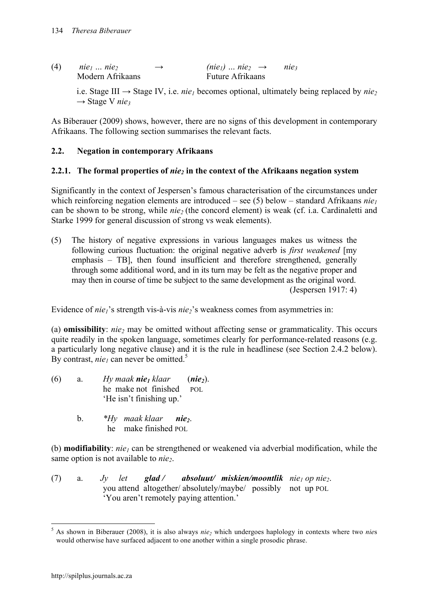| (4) | nie <sub>1</sub> nie <sub>2</sub> | $\rightarrow$ | (nie <sub>1</sub> )  nie <sub>2</sub> $\rightarrow$ | nie3 |
|-----|-----------------------------------|---------------|-----------------------------------------------------|------|
|     | Modern Afrikaans                  |               | <b>Future Afrikaans</b>                             |      |

i.e. Stage III  $\rightarrow$  Stage IV, i.e. *nie<sub>1</sub>* becomes optional, ultimately being replaced by *nie*<sub>2</sub>  $\rightarrow$  Stage V *nie*<sub>3</sub>

As Biberauer (2009) shows, however, there are no signs of this development in contemporary Afrikaans. The following section summarises the relevant facts.

#### **2.2. Negation in contemporary Afrikaans**

#### **2.2.1. The formal properties of** *nie2* **in the context of the Afrikaans negation system**

Significantly in the context of Jespersen's famous characterisation of the circumstances under which reinforcing negation elements are introduced – see  $(5)$  below – standard Afrikaans *nie*<sup>1</sup> can be shown to be strong, while *nie2* (the concord element) is weak (cf. i.a. Cardinaletti and Starke 1999 for general discussion of strong vs weak elements).

(5) The history of negative expressions in various languages makes us witness the following curious fluctuation: the original negative adverb is *first weakened* [my emphasis – TB], then found insufficient and therefore strengthened, generally through some additional word, and in its turn may be felt as the negative proper and may then in course of time be subject to the same development as the original word. (Jespersen 1917: 4)

Evidence of *nie<sub>1</sub>*'s strength vis-à-vis *nie<sub>2</sub>*'s weakness comes from asymmetries in:

(a) **omissibility**: *nie2* may be omitted without affecting sense or grammaticality. This occurs quite readily in the spoken language, sometimes clearly for performance-related reasons (e.g. a particularly long negative clause) and it is the rule in headlinese (see Section 2.4.2 below). By contrast,  $nie_1$  can never be omitted.<sup>5</sup>

| (6) | a. | Hy maak <b>nie</b> <sub>l</sub> klaar | $(nie2)$ . |
|-----|----|---------------------------------------|------------|
|     |    | he make not finished                  | POL        |
|     |    | 'He isn't finishing up.'              |            |

b. *\*Hy maak klaar nie2*. he make finished POL

(b) **modifiability**:  $nie_1$  can be strengthened or weakened via adverbial modification, while the same option is not available to *nie*<sub>2</sub>.

(7) a. *Jy let glad / absoluut / miskien/moontlik*  $nie_1 op nie_2$ *.* you attend altogether/ absolutely/maybe/ possibly not up POL 'You aren't remotely paying attention.'

 <sup>5</sup> As shown in Biberauer (2008), it is also always *nie2* which undergoes haplology in contexts where two *nie*<sup>s</sup> would otherwise have surfaced adjacent to one another within a single prosodic phrase.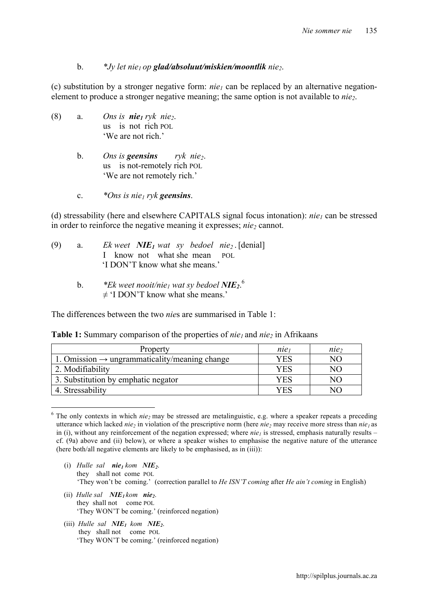#### b. *\*Jy let nie1 op glad/absoluut/miskien/moontlik nie2*.

(c) substitution by a stronger negative form:  $nie_1$  can be replaced by an alternative negationelement to produce a stronger negative meaning; the same option is not available to *nie*<sub>2</sub>.

- (8) a. *Ons is nie<sub>1</sub> ryk nie*<sub>2</sub>. us is not rich POL 'We are not rich.'
	- b. *Ons is geensins ryk nie2*. us is not-remotely rich POL 'We are not remotely rich.'
	- c. *\*Ons is nie1 ryk geensins*.

(d) stressability (here and elsewhere CAPITALS signal focus intonation):  $nie<sub>1</sub>$  can be stressed in order to reinforce the negative meaning it expresses: *nie*, cannot.

- (9) a. *Ek weet NIE<sub>1</sub> wat sy bedoel nie*<sub>2</sub>. [denial] I know not what she mean POL 'I DON'T know what she means.'
	- b. *\*Ek weet nooit/nie1 wat sy bedoel NIE2*. 6  $\neq$  'I DON'T know what she means.'

The differences between the two *nie*s are summarised in Table 1:

| Property                                                  | $n e_1$ | nie, |
|-----------------------------------------------------------|---------|------|
| 1. Omission $\rightarrow$ ungrammaticality/meaning change | YES     | NΟ   |
| 2. Modifiability                                          | YES     | NΟ   |
| 3. Substitution by emphatic negator                       | YES     | NO   |
| 4. Stressability                                          | YES     | NО   |

**Table 1:** Summary comparison of the properties of *nie<sub>l</sub>* and *nie*<sub>2</sub> in Afrikaans

- (i) *Hulle sal nie<sub>1</sub> kom*  $NIE_2$ . they shall not come POL 'They won't be coming.' (correction parallel to *He ISN'T coming* after *He ain't coming* in English)
- (ii) *Hulle sal NIE<sub>1</sub> kom nie*<sub>2</sub>. they shall not come POL 'They WON'T be coming.' (reinforced negation)
- (iii) *Hulle sal NIE<sub>1</sub>* kom *NIE<sub>2</sub>***.** they shall not come POL 'They WON'T be coming.' (reinforced negation)

 $6$  The only contexts in which *nie<sub>2</sub>* may be stressed are metalinguistic, e.g. where a speaker repeats a preceding utterance which lacked  $nie_2$  in violation of the prescriptive norm (here  $nie_2$  may receive more stress than  $nie_1$  as in (i), without any reinforcement of the negation expressed; where  $nie<sub>l</sub>$  is stressed, emphasis naturally results – cf. (9a) above and (ii) below), or where a speaker wishes to emphasise the negative nature of the utterance (here both/all negative elements are likely to be emphasised, as in (iii)):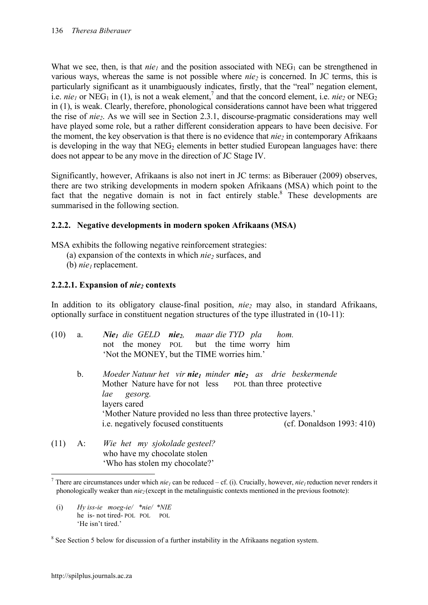What we see, then, is that  $nie_1$  and the position associated with NEG<sub>1</sub> can be strengthened in various ways, whereas the same is not possible where *nie* is concerned. In JC terms, this is particularly significant as it unambiguously indicates, firstly, that the "real" negation element, i.e. *nie<sub>1</sub>* or NEG<sub>1</sub> in (1), is not a weak element,<sup>7</sup> and that the concord element, i.e. *nie<sub>2</sub>* or NEG<sub>2</sub> in (1), is weak. Clearly, therefore, phonological considerations cannot have been what triggered the rise of *nie2*. As we will see in Section 2.3.1, discourse-pragmatic considerations may well have played some role, but a rather different consideration appears to have been decisive. For the moment, the key observation is that there is no evidence that *nie*<sub>2</sub> in contemporary Afrikaans is developing in the way that  $NEG_{2}$  elements in better studied European languages have: there does not appear to be any move in the direction of JC Stage IV.

Significantly, however, Afrikaans is also not inert in JC terms: as Biberauer (2009) observes, there are two striking developments in modern spoken Afrikaans (MSA) which point to the fact that the negative domain is not in fact entirely stable.<sup>8</sup> These developments are summarised in the following section.

# **2.2.2. Negative developments in modern spoken Afrikaans (MSA)**

MSA exhibits the following negative reinforcement strategies:

- (a) expansion of the contexts in which *nie2* surfaces, and
- (b) *nie*<sup>t</sup> replacement.

# **2.2.2.1. Expansion of** *nie2* **contexts**

In addition to its obligatory clause-final position, *nie2* may also, in standard Afrikaans, optionally surface in constituent negation structures of the type illustrated in (10-11):

| (10) | a. | <b>Nie</b> <sub>l</sub> die GELD nie <sub>2</sub> , maar die TYD pla<br>hom.<br>not the money POL but the time worry him<br>'Not the MONEY, but the TIME worries him.'            |
|------|----|-----------------------------------------------------------------------------------------------------------------------------------------------------------------------------------|
|      | b. | Moeder Natuur het vir nie <sub>l</sub> minder nie <sub>2</sub> as drie beskermende<br>Mother Nature have for not less pol than three protective<br>lae<br>gesorg.<br>layers cared |
|      |    | 'Mother Nature provided no less than three protective layers.'                                                                                                                    |
|      |    | <i>i.e.</i> negatively focused constituents<br>(cf. Donaldson 1993: 410)                                                                                                          |
| (11) |    | $\Lambda$ $W$ $\alpha$ hat my sighplade costaal?                                                                                                                                  |

(11) A: *Wie het my sjokolade gesteel?*  who have my chocolate stolen 'Who has stolen my chocolate?'

(i) *Hy iss-ie moeg-ie/ \*nie/ \*NIE* he is- not tired- POL POL POL 'He isn't tired.'

<sup>&</sup>lt;sup>7</sup> There are circumstances under which *nie<sub>1</sub>* can be reduced – cf. (i). Crucially, however, *nie<sub>1</sub>* reduction never renders it phonologically weaker than  $nie_2$  (except in the metalinguistic contexts mentioned in the previous footnote):

<sup>&</sup>lt;sup>8</sup> See Section 5 below for discussion of a further instability in the Afrikaans negation system.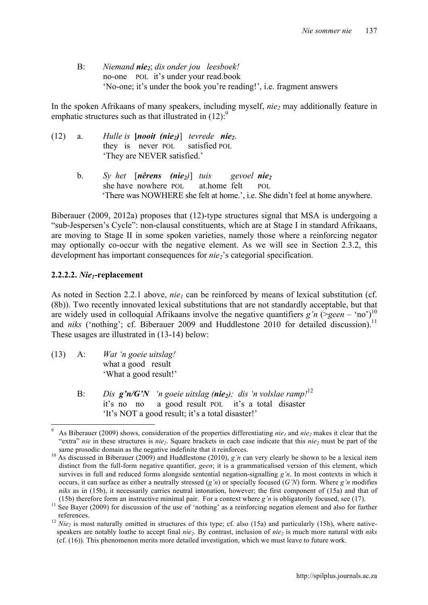B: *Niemand nie2*; *dis onder jou leesboek!* no-one POL it's under your read.book 'No-one; it's under the book you're reading!', i.e. fragment answers

In the spoken Afrikaans of many speakers, including myself, *nie*<sub>2</sub> may additionally feature in emphatic structures such as that illustrated in  $(12)$ :<sup>9</sup>

| (12) | a.          | Hulle is $[nooit (nie2)]$ tevrede nie <sub>2</sub> .<br>they is never POL satisfied POL<br>'They are NEVER satisfied.'                                                                                                  |
|------|-------------|-------------------------------------------------------------------------------------------------------------------------------------------------------------------------------------------------------------------------|
|      | $b_{\cdot}$ | Sy het $\lceil$ <b>nêrens</b> ( <b>nie</b> <sub>2</sub> ) tuis gevoel <b>nie</b> <sub>2</sub><br>she have nowhere POL at home felt POL<br>'There was NOWHERE she felt at home.', i.e. She didn't feel at home anywhere. |

Biberauer (2009, 2012a) proposes that (12)-type structures signal that MSA is undergoing a "sub-Jespersen's Cycle": non-clausal constituents, which are at Stage I in standard Afrikaans, are moving to Stage II in some spoken varieties, namely those where a reinforcing negator may optionally co-occur with the negative element. As we will see in Section 2.3.2, this development has important consequences for *nie*<sub>2</sub>'s categorial specification.

#### **2.2.2.2.** *Nie1***-replacement**

As noted in Section 2.2.1 above, *nie<sub>l</sub>* can be reinforced by means of lexical substitution (cf. (8b)). Two recently innovated lexical substitutions that are not standardly acceptable, but that are widely used in colloquial Afrikaans involve the negative quantifiers  $g'n$  (> $geen - 'no'$ )<sup>10</sup> and *niks* ('nothing'; cf. Biberauer 2009 and Huddlestone 2010 for detailed discussion).<sup>11</sup> These usages are illustrated in (13-14) below:

- (13) A: *Wat 'n goeie uitslag!* what a good result 'What a good result!'
	- B: *Dis g'n/G'N 'n goeie uitslag (nie2); dis 'n volslae ramp!*<sup>12</sup> it's no no a good result POL it's a total disaster 'It's NOT a good result; it's a total disaster!'

As Biberauer (2009) shows, consideration of the properties differentiating *nie<sub>1</sub>* and *nie<sub>2</sub>* makes it clear that the "extra" *nie* in these structures is *nie<sub>2</sub>*. Square brackets in each case indicate that this *nie<sub>2</sub>* must be part of the

same prosodic domain as the negative indefinite that it reinforces.<br><sup>10</sup> As discussed in Biberauer (2009) and Huddlestone (2010), *g'n* can very clearly be shown to be a lexical item distinct from the full-form negative quantifier, *geen*; it is a grammaticalised version of this element, which survives in full and reduced forms alongside sentential negation-signalling *g'n*. In most contexts in which it occurs, it can surface as either a neutrally stressed (*g'n*) or specially focused (*G'N*) form. Where *g'n* modifies *niks* as in (15b), it necessarily carries neutral intonation, however; the first component of (15a) and that of

<sup>(15</sup>b) therefore form an instructive minimal pair. For a context where  $g'n$  is obligatorily focused, see (17).<br><sup>11</sup> See Bayer (2009) for discussion of the use of 'nothing' as a reinforcing negation element and also for fur

references.<br><sup>12</sup> *Nie<sub>2</sub>* is most naturally omitted in structures of this type; cf. also (15a) and particularly (15b), where nativespeakers are notably loathe to accept final *nie*<sub>2</sub>. By contrast, inclusion of *nie*<sub>2</sub> is much more natural with *niks* (cf. (16)). This phenomenon merits more detailed investigation, which we must leave to future work.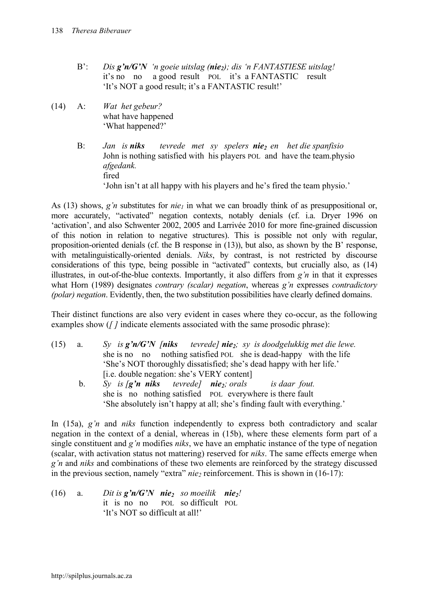- B': *Dis g'n/G'N 'n goeie uitslag (nie2); dis 'n FANTASTIESE uitslag!* it's no no a good result POL it's a FANTASTIC result 'It's NOT a good result; it's a FANTASTIC result!'
- (14) A: *Wat het gebeur?* what have happened 'What happened?'
	- B: *Jan is niks tevrede met sy spelers nie<sub>2</sub> en het die spanfisio* John is nothing satisfied with his players POL and have the team.physio *afgedank.* fired 'John isn't at all happy with his players and he's fired the team physio.'

As (13) shows,  $g'n$  substitutes for  $nie_1$  in what we can broadly think of as presuppositional or, more accurately, "activated" negation contexts, notably denials (cf. i.a. Dryer 1996 on 'activation', and also Schwenter 2002, 2005 and Larrivée 2010 for more fine-grained discussion of this notion in relation to negative structures). This is possible not only with regular, proposition-oriented denials (cf. the B response in (13)), but also, as shown by the B' response, with metalinguistically-oriented denials. *Niks*, by contrast, is not restricted by discourse considerations of this type, being possible in "activated" contexts, but crucially also, as (14) illustrates, in out-of-the-blue contexts. Importantly, it also differs from *g'n* in that it expresses what Horn (1989) designates *contrary (scalar) negation*, whereas *g'n* expresses *contradictory (polar) negation*. Evidently, then, the two substitution possibilities have clearly defined domains.

Their distinct functions are also very evident in cases where they co-occur, as the following examples show (*[]* indicate elements associated with the same prosodic phrase):

- (15) a. *Sy is g'n/G'N [niks tevrede] nie2; sy is doodgelukkig met die lewe.* she is no no nothing satisfied POL she is dead-happy with the life 'She's NOT thoroughly dissatisfied; she's dead happy with her life.' [i.e. double negation: she's VERY content]
	- b. *Sy is [g'n niks tevrede] nie2; orals is daar fout.* she is no nothing satisfied POL everywhere is there fault 'She absolutely isn't happy at all; she's finding fault with everything.'

In (15a), *g'n* and *niks* function independently to express both contradictory and scalar negation in the context of a denial, whereas in (15b), where these elements form part of a single constituent and *g'n* modifies *niks*, we have an emphatic instance of the type of negation (scalar, with activation status not mattering) reserved for *niks*. The same effects emerge when *g'n* and *niks* and combinations of these two elements are reinforced by the strategy discussed in the previous section, namely "extra"  $nie_2$  reinforcement. This is shown in  $(16-17)$ :

(16) a. *Dit is*  $g'n/G'N$  *nie<sub>2</sub></sub> so moeilik nie<sub>2</sub>!* it is no no POL so difficult POL 'It's NOT so difficult at all!'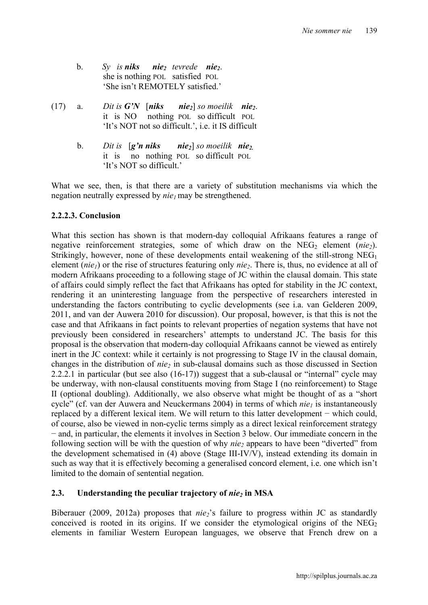- b. *Sy is niks nie2 tevrede nie2*. she is nothing POL satisfied POL 'She isn't REMOTELY satisfied.'
- (17) a. *Dit is G'N*  $[niks$   $nie_2]$  *so moeilik*  $nie_2$ . it is NO nothing POL so difficult POL 'It's NOT not so difficult.', i.e. it IS difficult
	- b. *Dit is* [*g'n niks nie2*] *so moeilik nie2.* it is no nothing POL so difficult POL 'It's NOT so difficult.'

What we see, then, is that there are a variety of substitution mechanisms via which the negation neutrally expressed by *nie<sub>l</sub>* may be strengthened.

# **2.2.2.3. Conclusion**

What this section has shown is that modern-day colloquial Afrikaans features a range of negative reinforcement strategies, some of which draw on the  $NEG_{2}$  element (*nie*<sub>2</sub>). Strikingly, however, none of these developments entail weakening of the still-strong  $NEG_{1}$ element (*nie<sub>1</sub>*) or the rise of structures featuring only *nie*<sub>2</sub>. There is, thus, no evidence at all of modern Afrikaans proceeding to a following stage of JC within the clausal domain. This state of affairs could simply reflect the fact that Afrikaans has opted for stability in the JC context, rendering it an uninteresting language from the perspective of researchers interested in understanding the factors contributing to cyclic developments (see i.a. van Gelderen 2009, 2011, and van der Auwera 2010 for discussion). Our proposal, however, is that this is not the case and that Afrikaans in fact points to relevant properties of negation systems that have not previously been considered in researchers' attempts to understand JC. The basis for this proposal is the observation that modern-day colloquial Afrikaans cannot be viewed as entirely inert in the JC context: while it certainly is not progressing to Stage IV in the clausal domain, changes in the distribution of *nie2* in sub-clausal domains such as those discussed in Section 2.2.2.1 in particular (but see also (16-17)) suggest that a sub-clausal or "internal" cycle may be underway, with non-clausal constituents moving from Stage I (no reinforcement) to Stage II (optional doubling). Additionally, we also observe what might be thought of as a "short cycle" (cf. van der Auwera and Neuckermans 2004) in terms of which  $nie_1$  is instantaneously replaced by a different lexical item. We will return to this latter development − which could, of course, also be viewed in non-cyclic terms simply as a direct lexical reinforcement strategy − and, in particular, the elements it involves in Section 3 below. Our immediate concern in the following section will be with the question of why *nie2* appears to have been "diverted" from the development schematised in (4) above (Stage III-IV/V), instead extending its domain in such as way that it is effectively becoming a generalised concord element, i.e. one which isn't limited to the domain of sentential negation.

# **2.3. Understanding the peculiar trajectory of** *nie***<sub>2</sub> in MSA**

Biberauer (2009, 2012a) proposes that *nie*<sub>2</sub>'s failure to progress within JC as standardly conceived is rooted in its origins. If we consider the etymological origins of the  $NEG_{2}$ elements in familiar Western European languages, we observe that French drew on a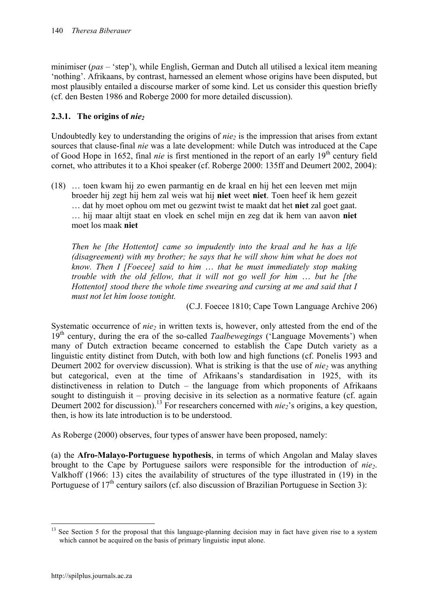minimiser (*pas* – 'step'), while English, German and Dutch all utilised a lexical item meaning 'nothing'. Afrikaans, by contrast, harnessed an element whose origins have been disputed, but most plausibly entailed a discourse marker of some kind. Let us consider this question briefly (cf. den Besten 1986 and Roberge 2000 for more detailed discussion).

# **2.3.1.** The origins of *nie*<sub>2</sub>

Undoubtedly key to understanding the origins of *nie*<sub>2</sub> is the impression that arises from extant sources that clause-final *nie* was a late development: while Dutch was introduced at the Cape of Good Hope in 1652, final *nie* is first mentioned in the report of an early 19<sup>th</sup> century field cornet, who attributes it to a Khoi speaker (cf. Roberge 2000: 135ff and Deumert 2002, 2004):

(18) … toen kwam hij zo ewen parmantig en de kraal en hij het een leeven met mijn broeder hij zegt hij hem zal weis wat hij **niet** weet **niet**. Toen heef ik hem gezeit … dat hy moet ophou om met ou gezwint twist te maakt dat het **niet** zal goet gaat. … hij maar altijt staat en vloek en schel mijn en zeg dat ik hem van aavon **niet** moet los maak **niet**

*Then he [the Hottentot] came so impudently into the kraal and he has a life (disagreement) with my brother; he says that he will show him what he does not know. Then I [Foecee] said to him* … *that he must immediately stop making trouble with the old fellow, that it will not go well for him* … *but he [the Hottentot] stood there the whole time swearing and cursing at me and said that I must not let him loose tonight.*

(C.J. Foecee 1810; Cape Town Language Archive 206)

Systematic occurrence of *nie*<sub>2</sub> in written texts is, however, only attested from the end of the 19th century, during the era of the so-called *Taalbewegings* ('Language Movements') when many of Dutch extraction became concerned to establish the Cape Dutch variety as a linguistic entity distinct from Dutch, with both low and high functions (cf. Ponelis 1993 and Deumert 2002 for overview discussion). What is striking is that the use of *nie* was anything but categorical, even at the time of Afrikaans's standardisation in 1925, with its distinctiveness in relation to Dutch – the language from which proponents of Afrikaans sought to distinguish it – proving decisive in its selection as a normative feature (cf. again Deumert 2002 for discussion).<sup>13</sup> For researchers concerned with *nie*<sub>2</sub>'s origins, a key question, then, is how its late introduction is to be understood.

As Roberge (2000) observes, four types of answer have been proposed, namely:

(a) the **Afro-Malayo-Portuguese hypothesis**, in terms of which Angolan and Malay slaves brought to the Cape by Portuguese sailors were responsible for the introduction of *nie2*. Valkhoff (1966: 13) cites the availability of structures of the type illustrated in (19) in the Portuguese of 17<sup>th</sup> century sailors (cf. also discussion of Brazilian Portuguese in Section 3):

<sup>&</sup>lt;sup>13</sup> See Section 5 for the proposal that this language-planning decision may in fact have given rise to a system which cannot be acquired on the basis of primary linguistic input alone.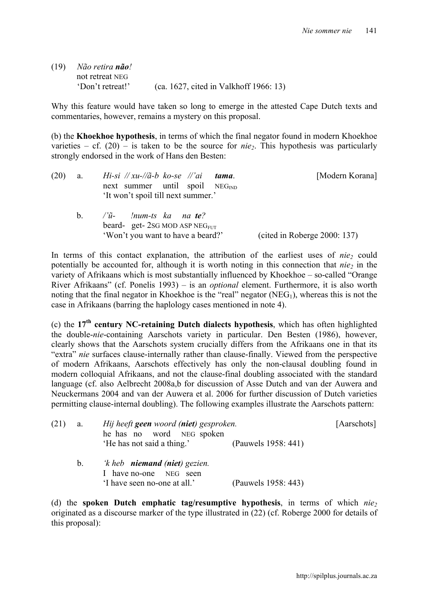| (19) | Não retira <b>não</b> ! |                                        |
|------|-------------------------|----------------------------------------|
|      | not retreat NEG         |                                        |
|      | 'Don't retreat!'        | (ca. 1627, cited in Valkhoff 1966: 13) |

Why this feature would have taken so long to emerge in the attested Cape Dutch texts and commentaries, however, remains a mystery on this proposal.

(b) the **Khoekhoe hypothesis**, in terms of which the final negator found in modern Khoekhoe varieties – cf.  $(20)$  – is taken to be the source for *nie*<sub>2</sub>. This hypothesis was particularly strongly endorsed in the work of Hans den Besten:

| (20) | a.      | Hi-si $\pi x$ u- $\pi x$ -b ko-se $\pi x$ i tama.<br>next summer until spoil $NEG_{IND}$<br>'It won't spoil till next summer.' | [Modern Korana]              |
|------|---------|--------------------------------------------------------------------------------------------------------------------------------|------------------------------|
|      | $b_{-}$ | $\gamma$ u- !num-ts ka na te?<br>beard- get- $2SG \text{ MOD } ASP \text{ NEG}_{FUT}$<br>'Won't you want to have a beard?'     | (cited in Roberge 2000: 137) |

In terms of this contact explanation, the attribution of the earliest uses of *nie*<sub>2</sub> could potentially be accounted for, although it is worth noting in this connection that *nie*<sub>2</sub> in the variety of Afrikaans which is most substantially influenced by Khoekhoe – so-called "Orange River Afrikaans" (cf. Ponelis 1993) – is an *optional* element. Furthermore, it is also worth noting that the final negator in Khoekhoe is the "real" negator  $(NEG_1)$ , whereas this is not the case in Afrikaans (barring the haplology cases mentioned in note 4).

(c) the **17th century NC-retaining Dutch dialects hypothesis**, which has often highlighted the double-*nie*-containing Aarschots variety in particular. Den Besten (1986), however, clearly shows that the Aarschots system crucially differs from the Afrikaans one in that its "extra" *nie* surfaces clause-internally rather than clause-finally. Viewed from the perspective of modern Afrikaans, Aarschots effectively has only the non-clausal doubling found in modern colloquial Afrikaans, and not the clause-final doubling associated with the standard language (cf. also Aelbrecht 2008a,b for discussion of Asse Dutch and van der Auwera and Neuckermans 2004 and van der Auwera et al. 2006 for further discussion of Dutch varieties permitting clause-internal doubling). The following examples illustrate the Aarschots pattern:

| (21) | a.      | Hij heeft <b>geen</b> woord (niet) gesproken.<br>he has no word NEG spoken                     |                     | [Aarschots] |
|------|---------|------------------------------------------------------------------------------------------------|---------------------|-------------|
|      |         | 'He has not said a thing.'                                                                     | (Pauwels 1958: 441) |             |
|      | $b_{-}$ | 'k heb <b>niemand (niet)</b> gezien.<br>I have no-one NEG seen<br>'I have seen no-one at all.' | (Pauwels 1958: 443) |             |

(d) the **spoken Dutch emphatic tag/resumptive hypothesis**, in terms of which *nie2* originated as a discourse marker of the type illustrated in (22) (cf. Roberge 2000 for details of this proposal):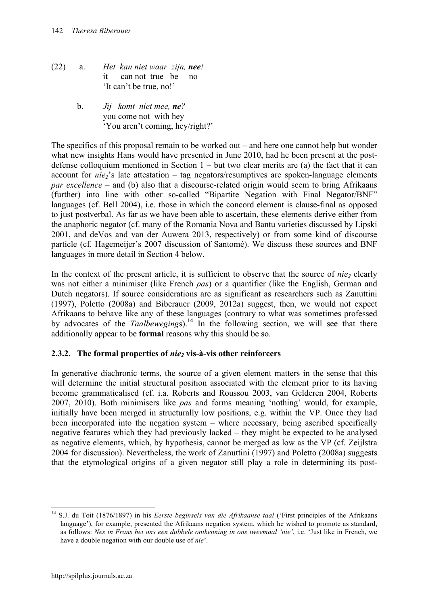- (22) a. *Het kan niet waar zijn, nee!* it can not true be no 'It can't be true, no!'
	- b. *Jij komt niet mee, ne?* you come not with hey 'You aren't coming, hey/right?'

The specifics of this proposal remain to be worked out – and here one cannot help but wonder what new insights Hans would have presented in June 2010, had he been present at the postdefense colloquium mentioned in Section  $1 -$  but two clear merits are (a) the fact that it can account for  $nie_2$ 's late attestation – tag negators/resumptives are spoken-language elements *par excellence* – and (b) also that a discourse-related origin would seem to bring Afrikaans (further) into line with other so-called "Bipartite Negation with Final Negator/BNF" languages (cf. Bell 2004), i.e. those in which the concord element is clause-final as opposed to just postverbal. As far as we have been able to ascertain, these elements derive either from the anaphoric negator (cf. many of the Romania Nova and Bantu varieties discussed by Lipski 2001, and deVos and van der Auwera 2013, respectively) or from some kind of discourse particle (cf. Hagemeijer's 2007 discussion of Santomé). We discuss these sources and BNF languages in more detail in Section 4 below.

In the context of the present article, it is sufficient to observe that the source of *nie*, clearly was not either a minimiser (like French *pas*) or a quantifier (like the English, German and Dutch negators). If source considerations are as significant as researchers such as Zanuttini (1997), Poletto (2008a) and Biberauer (2009, 2012a) suggest, then, we would not expect Afrikaans to behave like any of these languages (contrary to what was sometimes professed by advocates of the *Taalbewegings*).<sup>14</sup> In the following section, we will see that there additionally appear to be **formal** reasons why this should be so.

# **2.3.2. The formal properties of** *nie2* **vis-à-vis other reinforcers**

In generative diachronic terms, the source of a given element matters in the sense that this will determine the initial structural position associated with the element prior to its having become grammaticalised (cf. i.a. Roberts and Roussou 2003, van Gelderen 2004, Roberts 2007, 2010). Both minimisers like *pas* and forms meaning 'nothing' would, for example, initially have been merged in structurally low positions, e.g. within the VP. Once they had been incorporated into the negation system – where necessary, being ascribed specifically negative features which they had previously lacked – they might be expected to be analysed as negative elements, which, by hypothesis, cannot be merged as low as the VP (cf. Zeijlstra 2004 for discussion). Nevertheless, the work of Zanuttini (1997) and Poletto (2008a) suggests that the etymological origins of a given negator still play a role in determining its post-

 <sup>14</sup> S.J. du Toit (1876/1897) in his *Eerste beginsels van die Afrikaanse taal* ('First principles of the Afrikaans language'), for example, presented the Afrikaans negation system, which he wished to promote as standard, as follows: *Nes in Frans het ons een dubbele ontkenning in ons tweemaal 'nie'*, i.e. 'Just like in French, we have a double negation with our double use of *nie*'.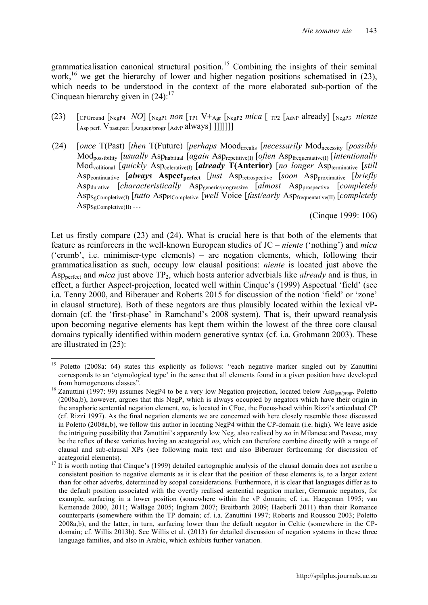grammaticalisation canonical structural position.<sup>15</sup> Combining the insights of their seminal work,<sup>16</sup> we get the hierarchy of lower and higher negation positions schematised in  $(23)$ , which needs to be understood in the context of the more elaborated sub-portion of the Cinquean hierarchy given in  $(24)$ :<sup>17</sup>

- (23) [CPGround [NegP4 *NO*] [NegP1 *non* [TP1 V+Agr [NegP2 *mica* [ TP2 [AdvP already] [NegP3 *niente*  $\left[ \frac{\text{Asp}}{\text{perf.}} \text{V}_{\text{past. part}} \left[ \frac{\text{Aspgen/proper}}{\text{AdvP}} \text{always} \right] \right]$
- (24) [*once* T(Past) [*then* T(Future) [*perhaps* Moodirrealis [*necessarily* Modnecessity [*possibly*  Modpossibility [*usually* Asphabitual [*again* Asprepetitive(I) [*often* Aspfrequentative(I) [*intentionally*  Modvolitional [*quickly* Aspcelerative(I) [*already* **T(Anterior)** [*no longer* Aspterminative [*still* Aspcontinuative [*always* **Aspectperfect** [*just* Aspretrospective [*soon* Aspproximative [*briefly*  Aspdurative [*characteristically* Aspgeneric/progressive [*almost* Aspprospective [*completely* AspSgCompletive(I) [*tutto* AspPlCompletive [*well* Voice [*fast/early* Aspfrequentative(II) [*completely*  $\mathrm{Asp}_{\mathrm{SgCompletive(II)}}\ldots$

(Cinque 1999: 106)

Let us firstly compare (23) and (24). What is crucial here is that both of the elements that feature as reinforcers in the well-known European studies of JC – *niente* ('nothing') and *mica*  ('crumb', i.e. minimiser-type elements) – are negation elements, which, following their grammaticalisation as such, occupy low clausal positions: *niente* is located just above the Aspperfect and *mica* just above TP2, which hosts anterior adverbials like *already* and is thus, in effect, a further Aspect-projection, located well within Cinque's (1999) Aspectual 'field' (see i.a. Tenny 2000, and Biberauer and Roberts 2015 for discussion of the notion 'field' or 'zone' in clausal structure). Both of these negators are thus plausibly located within the lexical vPdomain (cf. the 'first-phase' in Ramchand's 2008 system). That is, their upward reanalysis upon becoming negative elements has kept them within the lowest of the three core clausal domains typically identified within modern generative syntax (cf. i.a. Grohmann 2003). These are illustrated in (25):

<sup>&</sup>lt;sup>15</sup> Poletto (2008a: 64) states this explicitly as follows: "each negative marker singled out by Zanuttini corresponds to an 'etymological type' in the sense that all elements found in a given position have developed

from homogeneous classes".<br><sup>16</sup> Zanuttini (1997: 99) assumes NegP4 to be a very low Negation projection, located below Asp<sub>gen/progr</sub>. Poletto (2008a,b), however, argues that this NegP, which is always occupied by negators which have their origin in the anaphoric sentential negation element, *no*, is located in CFoc, the Focus-head within Rizzi's articulated CP (cf. Rizzi 1997). As the final negation elements we are concerned with here closely resemble those discussed in Poletto (2008a,b), we follow this author in locating NegP4 within the CP-domain (i.e. high). We leave aside the intriguing possibility that Zanuttini's apparently low Neg, also realised by *no* in Milanese and Pavese, may be the reflex of these varieties having an acategorial *no*, which can therefore combine directly with a range of clausal and sub-clausal XPs (see following main text and also Biberauer forthcoming for discussion of

acategorial elements).<br><sup>17</sup> It is worth noting that Cinque's (1999) detailed cartographic analysis of the clausal domain does not ascribe a consistent position to negative elements as it is clear that the position of these elements is, to a larger extent than for other adverbs, determined by scopal considerations. Furthermore, it is clear that languages differ as to the default position associated with the overtly realised sentential negation marker, Germanic negators, for example, surfacing in a lower position (somewhere within the vP domain; cf. i.a. Haegeman 1995; van Kemenade 2000, 2011; Wallage 2005; Ingham 2007; Breitbarth 2009; Haeberli 2011) than their Romance counterparts (somewhere within the TP domain; cf. i.a. Zanuttini 1997; Roberts and Roussou 2003; Poletto 2008a,b), and the latter, in turn, surfacing lower than the default negator in Celtic (somewhere in the CPdomain; cf. Willis 2013b). See Willis et al. (2013) for detailed discussion of negation systems in these three language families, and also in Arabic, which exhibits further variation.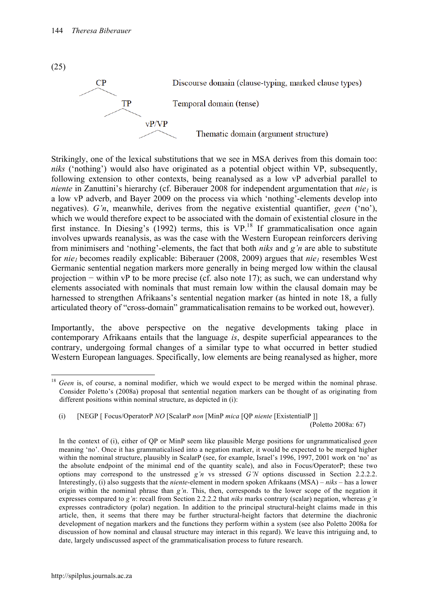

Strikingly, one of the lexical substitutions that we see in MSA derives from this domain too: *niks* ('nothing') would also have originated as a potential object within VP, subsequently, following extension to other contexts, being reanalysed as a low vP adverbial parallel to *niente* in Zanuttini's hierarchy (cf. Biberauer 2008 for independent argumentation that  $nie_1$  is a low vP adverb, and Bayer 2009 on the process via which 'nothing'-elements develop into negatives). *G'n*, meanwhile, derives from the negative existential quantifier, *geen* ('no'), which we would therefore expect to be associated with the domain of existential closure in the first instance. In Diesing's (1992) terms, this is  $VP<sup>18</sup>$  If grammaticalisation once again involves upwards reanalysis, as was the case with the Western European reinforcers deriving from minimisers and 'nothing'-elements, the fact that both *niks* and *g'n* are able to substitute for *nie<sub>1</sub>* becomes readily explicable: Biberauer (2008, 2009) argues that *nie<sub>1</sub>* resembles West Germanic sentential negation markers more generally in being merged low within the clausal projection − within vP to be more precise (cf. also note 17); as such, we can understand why elements associated with nominals that must remain low within the clausal domain may be harnessed to strengthen Afrikaans's sentential negation marker (as hinted in note 18, a fully articulated theory of "cross-domain" grammaticalisation remains to be worked out, however).

Importantly, the above perspective on the negative developments taking place in contemporary Afrikaans entails that the language *is*, despite superficial appearances to the contrary, undergoing formal changes of a similar type to what occurred in better studied Western European languages. Specifically, low elements are being reanalysed as higher, more

(i) [NEGP [ Focus/OperatorP *NO* [ScalarP *non* [MinP *mica* [QP *niente* [ExistentialP ]]

(25)

<sup>&</sup>lt;sup>18</sup> *Geen* is, of course, a nominal modifier, which we would expect to be merged within the nominal phrase. Consider Poletto's (2008a) proposal that sentential negation markers can be thought of as originating from different positions within nominal structure, as depicted in (i):

<sup>(</sup>Poletto 2008a: 67)

In the context of (i), either of QP or MinP seem like plausible Merge positions for ungrammaticalised *geen* meaning 'no'. Once it has grammaticalised into a negation marker, it would be expected to be merged higher within the nominal structure, plausibly in ScalarP (see, for example, Israel's 1996, 1997, 2001 work on 'no' as the absolute endpoint of the minimal end of the quantity scale), and also in Focus/OperatorP; these two options may correspond to the unstressed *g'n* vs stressed *G'N* options discussed in Section 2.2.2.2. Interestingly, (i) also suggests that the *niente*-element in modern spoken Afrikaans (MSA) – *niks* – has a lower origin within the nominal phrase than *g'n*. This, then, corresponds to the lower scope of the negation it expresses compared to *g'n*: recall from Section 2.2.2.2 that *niks* marks contrary (scalar) negation, whereas *g'n* expresses contradictory (polar) negation. In addition to the principal structural-height claims made in this article, then, it seems that there may be further structural-height factors that determine the diachronic development of negation markers and the functions they perform within a system (see also Poletto 2008a for discussion of how nominal and clausal structure may interact in this regard). We leave this intriguing and, to date, largely undiscussed aspect of the grammaticalisation process to future research.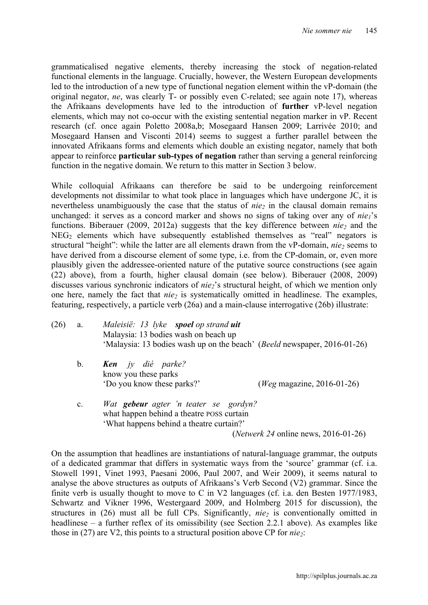grammaticalised negative elements, thereby increasing the stock of negation-related functional elements in the language. Crucially, however, the Western European developments led to the introduction of a new type of functional negation element within the vP-domain (the original negator, *ne*, was clearly T- or possibly even C-related; see again note 17), whereas the Afrikaans developments have led to the introduction of **further** vP-level negation elements, which may not co-occur with the existing sentential negation marker in vP. Recent research (cf. once again Poletto 2008a,b; Mosegaard Hansen 2009; Larrivée 2010; and Mosegaard Hansen and Visconti 2014) seems to suggest a further parallel between the innovated Afrikaans forms and elements which double an existing negator, namely that both appear to reinforce **particular sub-types of negation** rather than serving a general reinforcing function in the negative domain. We return to this matter in Section 3 below.

While colloquial Afrikaans can therefore be said to be undergoing reinforcement developments not dissimilar to what took place in languages which have undergone JC, it is nevertheless unambiguously the case that the status of  $nie_2$  in the clausal domain remains unchanged: it serves as a concord marker and shows no signs of taking over any of  $nie_1$ 's functions. Biberauer (2009, 2012a) suggests that the key difference between *nie* and the  $NEG_{2}$  elements which have subsequently established themselves as "real" negators is structural "height": while the latter are all elements drawn from the vP-domain, *nie*<sub>2</sub> seems to have derived from a discourse element of some type, i.e. from the CP-domain, or, even more plausibly given the addressee-oriented nature of the putative source constructions (see again (22) above), from a fourth, higher clausal domain (see below). Biberauer (2008, 2009) discusses various synchronic indicators of *nie*<sub>2</sub>'s structural height, of which we mention only one here, namely the fact that *nie<sub>2</sub>* is systematically omitted in headlinese. The examples, featuring, respectively, a particle verb (26a) and a main-clause interrogative (26b) illustrate:

- (26) a. *Maleisië: 13 lyke spoel op strand uit* Malaysia: 13 bodies wash on beach up 'Malaysia: 13 bodies wash up on the beach' (*Beeld* newspaper, 2016-01-26)
	- b. *Ken jy dié parke?* know you these parks 'Do you know these parks?' (*Weg* magazine, 2016-01-26)
	- c. *Wat gebeur agter 'n teater se gordyn?* what happen behind a theatre POSS curtain 'What happens behind a theatre curtain?' (*Netwerk 24* online news, 2016-01-26)

On the assumption that headlines are instantiations of natural-language grammar, the outputs of a dedicated grammar that differs in systematic ways from the 'source' grammar (cf. i.a. Stowell 1991, Vinet 1993, Paesani 2006, Paul 2007, and Weir 2009), it seems natural to analyse the above structures as outputs of Afrikaans's Verb Second (V2) grammar. Since the finite verb is usually thought to move to C in V2 languages (cf. i.a. den Besten 1977/1983, Schwartz and Vikner 1996, Westergaard 2009, and Holmberg 2015 for discussion), the structures in  $(26)$  must all be full CPs. Significantly, *nie<sub>2</sub>* is conventionally omitted in headlinese – a further reflex of its omissibility (see Section 2.2.1 above). As examples like those in  $(27)$  are V2, this points to a structural position above CP for  $nie_2$ :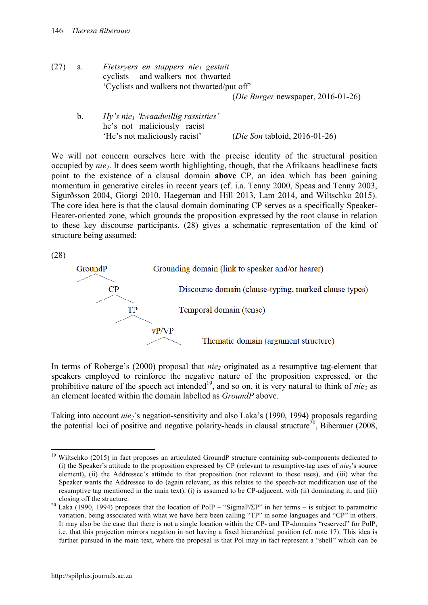- (27) a. *Fietsryers en stappers nie1 gestuit* cyclists and walkers not thwarted 'Cyclists and walkers not thwarted/put off' (*Die Burger* newspaper, 2016-01-26)
	- b. *Hy's nie1 'kwaadwillig rassisties'* he's not maliciously racist 'He's not maliciously racist' (*Die Son* tabloid, 2016-01-26)

We will not concern ourselves here with the precise identity of the structural position occupied by *nie2*. It does seem worth highlighting, though, that the Afrikaans headlinese facts point to the existence of a clausal domain **above** CP, an idea which has been gaining momentum in generative circles in recent years (cf. i.a. Tenny 2000, Speas and Tenny 2003, Sigurðsson 2004, Giorgi 2010, Haegeman and Hill 2013, Lam 2014, and Wiltschko 2015). The core idea here is that the clausal domain dominating CP serves as a specifically Speaker-Hearer-oriented zone, which grounds the proposition expressed by the root clause in relation to these key discourse participants. (28) gives a schematic representation of the kind of structure being assumed:

(28)



In terms of Roberge's (2000) proposal that *nie*, originated as a resumptive tag-element that speakers employed to reinforce the negative nature of the proposition expressed, or the prohibitive nature of the speech act intended<sup>19</sup>, and so on, it is very natural to think of *nie*<sub>2</sub> as an element located within the domain labelled as *GroundP* above.

Taking into account *nie*<sub>2</sub>'s negation-sensitivity and also Laka's (1990, 1994) proposals regarding the potential loci of positive and negative polarity-heads in clausal structure<sup>20</sup>, Biberauer (2008,

<sup>&</sup>lt;sup>19</sup> Wiltschko (2015) in fact proposes an articulated GroundP structure containing sub-components dedicated to (i) the Speaker's attitude to the proposition expressed by CP (relevant to resumptive-tag uses of *nie* $i$ 's source element), (ii) the Addressee's attitude to that proposition (not relevant to these uses), and (iii) what the Speaker wants the Addressee to do (again relevant, as this relates to the speech-act modification use of the resumptive tag mentioned in the main text). (i) is assumed to be CP-adjacent, with (ii) dominating it, and (iii)

closing off the structure.<br><sup>20</sup> Laka (1990, 1994) proposes that the location of PolP – "SigmaP/ΣP" in her terms – is subject to parametric variation, being associated with what we have here been calling "TP" in some languages and "CP" in others. It may also be the case that there is not a single location within the CP- and TP-domains "reserved" for PolP, i.e. that this projection mirrors negation in not having a fixed hierarchical position (cf. note 17). This idea is further pursued in the main text, where the proposal is that Pol may in fact represent a "shell" which can be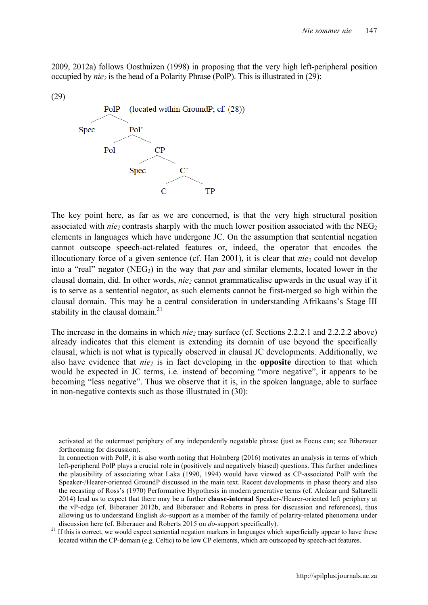2009, 2012a) follows Oosthuizen (1998) in proposing that the very high left-peripheral position occupied by *nie* is the head of a Polarity Phrase (PolP). This is illustrated in (29):





The key point here, as far as we are concerned, is that the very high structural position associated with  $nie_2$  contrasts sharply with the much lower position associated with the NEG<sub>2</sub> elements in languages which have undergone JC. On the assumption that sentential negation cannot outscope speech-act-related features or, indeed, the operator that encodes the illocutionary force of a given sentence (cf. Han  $2001$ ), it is clear that  $nie_2$  could not develop into a "real" negator (NEG<sub>3</sub>) in the way that *pas* and similar elements, located lower in the clausal domain, did. In other words, *nie*<sub>2</sub> cannot grammaticalise upwards in the usual way if it is to serve as a sentential negator, as such elements cannot be first-merged so high within the clausal domain. This may be a central consideration in understanding Afrikaans's Stage III stability in the clausal domain. $21$ 

The increase in the domains in which *nie*<sub>2</sub> may surface (cf. Sections 2.2.2.1 and 2.2.2.2 above) already indicates that this element is extending its domain of use beyond the specifically clausal, which is not what is typically observed in clausal JC developments. Additionally, we also have evidence that *nie2* is in fact developing in the **opposite** direction to that which would be expected in JC terms, i.e. instead of becoming "more negative", it appears to be becoming "less negative". Thus we observe that it is, in the spoken language, able to surface in non-negative contexts such as those illustrated in (30):

activated at the outermost periphery of any independently negatable phrase (just as Focus can; see Biberauer forthcoming for discussion).

In connection with PolP, it is also worth noting that Holmberg (2016) motivates an analysis in terms of which left-peripheral PolP plays a crucial role in (positively and negatively biased) questions. This further underlines the plausibility of associating what Laka (1990, 1994) would have viewed as CP-associated PolP with the Speaker-/Hearer-oriented GroundP discussed in the main text. Recent developments in phase theory and also the recasting of Ross's (1970) Performative Hypothesis in modern generative terms (cf. Alcázar and Saltarelli 2014) lead us to expect that there may be a further **clause-internal** Speaker-/Hearer-oriented left periphery at the vP-edge (cf. Biberauer 2012b, and Biberauer and Roberts in press for discussion and references), thus allowing us to understand English *do*-support as a member of the family of polarity-related phenomena under

discussion here (cf. Biberauer and Roberts 2015 on *do*-support specifically).<br><sup>21</sup> If this is correct, we would expect sentential negation markers in languages which superficially appear to have these located within the CP-domain (e.g. Celtic) to be low CP elements, which are outscoped by speech-act features.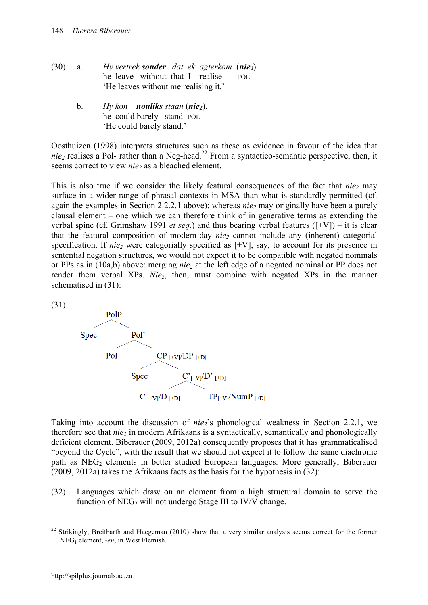- (30) a. *Hy vertrek sonder dat ek agterkom* (*nie2*). he leave without that I realisePOL 'He leaves without me realising it.'
	- b. *Hy kon nouliks staan* (*nie2*). he could barely stand POL 'He could barely stand.'

Oosthuizen (1998) interprets structures such as these as evidence in favour of the idea that *nie2* realises a Pol- rather than a Neg-head. <sup>22</sup> From a syntactico-semantic perspective, then, it seems correct to view *nie*<sub>2</sub> as a bleached element.

This is also true if we consider the likely featural consequences of the fact that  $nie_2$  may surface in a wider range of phrasal contexts in MSA than what is standardly permitted (cf. again the examples in Section 2.2.2.1 above): whereas *nie*<sub>2</sub> may originally have been a purely clausal element – one which we can therefore think of in generative terms as extending the verbal spine (cf. Grimshaw 1991 *et seq.*) and thus bearing verbal features ([+V]) – it is clear that the featural composition of modern-day *nie* cannot include any (inherent) categorial specification. If  $nie_2$  were categorially specified as  $[+V]$ , say, to account for its presence in sentential negation structures, we would not expect it to be compatible with negated nominals or PPs as in (10a,b) above: merging *nie2* at the left edge of a negated nominal or PP does not render them verbal XPs. *Nie<sub>2</sub>*, then, must combine with negated XPs in the manner schematised in (31):





Taking into account the discussion of *nie2*'s phonological weakness in Section 2.2.1, we therefore see that *nie<sub>2</sub>* in modern Afrikaans is a syntactically, semantically and phonologically deficient element. Biberauer (2009, 2012a) consequently proposes that it has grammaticalised "beyond the Cycle", with the result that we should not expect it to follow the same diachronic path as NEG<sub>2</sub> elements in better studied European languages. More generally, Biberauer (2009, 2012a) takes the Afrikaans facts as the basis for the hypothesis in (32):

(32) Languages which draw on an element from a high structural domain to serve the function of  $NEG_{2}$  will not undergo Stage III to IV/V change.

<sup>&</sup>lt;sup>22</sup> Strikingly, Breitbarth and Haegeman (2010) show that a very similar analysis seems correct for the former NEG1 element, *-en*, in West Flemish.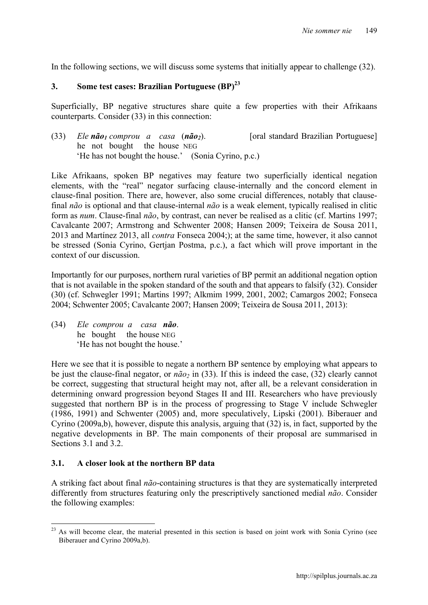In the following sections, we will discuss some systems that initially appear to challenge (32).

# **3. Some test cases: Brazilian Portuguese (BP)23**

Superficially, BP negative structures share quite a few properties with their Afrikaans counterparts. Consider (33) in this connection:

(33) *Ele não1 comprou a casa* (*não2*). [oral standard Brazilian Portuguese] he not bought the house NEG 'He has not bought the house.' (Sonia Cyrino, p.c.)

Like Afrikaans, spoken BP negatives may feature two superficially identical negation elements, with the "real" negator surfacing clause-internally and the concord element in clause-final position. There are, however, also some crucial differences, notably that clausefinal *não* is optional and that clause-internal *não* is a weak element, typically realised in clitic form as *num*. Clause-final *não*, by contrast, can never be realised as a clitic (cf. Martins 1997; Cavalcante 2007; Armstrong and Schwenter 2008; Hansen 2009; Teixeira de Sousa 2011, 2013 and Martínez 2013, all *contra* Fonseca 2004;); at the same time, however, it also cannot be stressed (Sonia Cyrino, Gertjan Postma, p.c.), a fact which will prove important in the context of our discussion.

Importantly for our purposes, northern rural varieties of BP permit an additional negation option that is not available in the spoken standard of the south and that appears to falsify (32). Consider (30) (cf. Schwegler 1991; Martins 1997; Alkmim 1999, 2001, 2002; Camargos 2002; Fonseca 2004; Schwenter 2005; Cavalcante 2007; Hansen 2009; Teixeira de Sousa 2011, 2013):

(34) *Ele comprou a casa não*. he bought the house NEG 'He has not bought the house.'

Here we see that it is possible to negate a northern BP sentence by employing what appears to be just the clause-final negator, or  $n\tilde{a}o_2$  in (33). If this is indeed the case, (32) clearly cannot be correct, suggesting that structural height may not, after all, be a relevant consideration in determining onward progression beyond Stages II and III. Researchers who have previously suggested that northern BP is in the process of progressing to Stage V include Schwegler (1986, 1991) and Schwenter (2005) and, more speculatively, Lipski (2001). Biberauer and Cyrino (2009a,b), however, dispute this analysis, arguing that (32) is, in fact, supported by the negative developments in BP. The main components of their proposal are summarised in Sections 3.1 and 3.2.

#### **3.1. A closer look at the northern BP data**

A striking fact about final *não*-containing structures is that they are systematically interpreted differently from structures featuring only the prescriptively sanctioned medial *não*. Consider the following examples:

<sup>&</sup>lt;sup>23</sup> As will become clear, the material presented in this section is based on joint work with Sonia Cyrino (see Biberauer and Cyrino 2009a,b).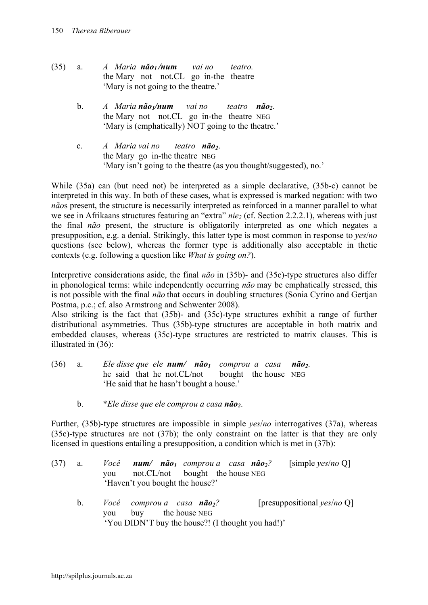- (35) a. *A Maria não1 /num vai no teatro.* the Mary not not.CL go in-the theatre 'Mary is not going to the theatre.'
	- b. *A Maria não <sub>1</sub>/num* vai no teatro não<sub>2</sub>. the Mary not not.CL go in-the theatre NEG 'Mary is (emphatically) NOT going to the theatre.'
	- c. *A Maria vai no teatro* **não**<sub>2</sub>. the Mary go in-the theatre NEG 'Mary isn't going to the theatre (as you thought/suggested), no.'

While (35a) can (but need not) be interpreted as a simple declarative, (35b-c) cannot be interpreted in this way. In both of these cases, what is expressed is marked negation: with two *não*s present, the structure is necessarily interpreted as reinforced in a manner parallel to what we see in Afrikaans structures featuring an "extra" *nie* (cf. Section 2.2.2.1), whereas with just the final *não* present, the structure is obligatorily interpreted as one which negates a presupposition, e.g. a denial. Strikingly, this latter type is most common in response to *yes*/*no* questions (see below), whereas the former type is additionally also acceptable in thetic contexts (e.g. following a question like *What is going on?*).

Interpretive considerations aside, the final *não* in (35b)- and (35c)-type structures also differ in phonological terms: while independently occurring *não* may be emphatically stressed, this is not possible with the final *não* that occurs in doubling structures (Sonia Cyrino and Gertjan Postma, p.c.; cf. also Armstrong and Schwenter 2008).

Also striking is the fact that (35b)- and (35c)-type structures exhibit a range of further distributional asymmetries. Thus (35b)-type structures are acceptable in both matrix and embedded clauses, whereas (35c)-type structures are restricted to matrix clauses. This is illustrated in (36):

| (36) | a. | Ele disse que ele num/ $n\tilde{a}o_1$ comprou a casa $n\tilde{a}o_2$ . |  |  |
|------|----|-------------------------------------------------------------------------|--|--|
|      |    | he said that he not.CL/not bought the house NEG                         |  |  |
|      |    | 'He said that he hasn't bought a house.'                                |  |  |

b. \**Ele disse que ele comprou a casa não2*.

Further, (35b)-type structures are impossible in simple *yes*/*no* interrogatives (37a), whereas (35c)-type structures are not (37b); the only constraint on the latter is that they are only licensed in questions entailing a presupposition, a condition which is met in (37b):

| $(37)$ a. |  | Você <b>num/ não</b> <sub>l</sub> comprou a casa <b>não</b> <sub>2</sub> ? |  | [simple $\gamma$ es/no Q] |
|-----------|--|----------------------------------------------------------------------------|--|---------------------------|
|           |  | you not.CL/not bought the house NEG                                        |  |                           |
|           |  | 'Haven't you bought the house?'                                            |  |                           |

b. *Você comprou a casa não2?* [presuppositional *yes*/*no* Q] you buy the house NEG 'You DIDN'T buy the house?! (I thought you had!)'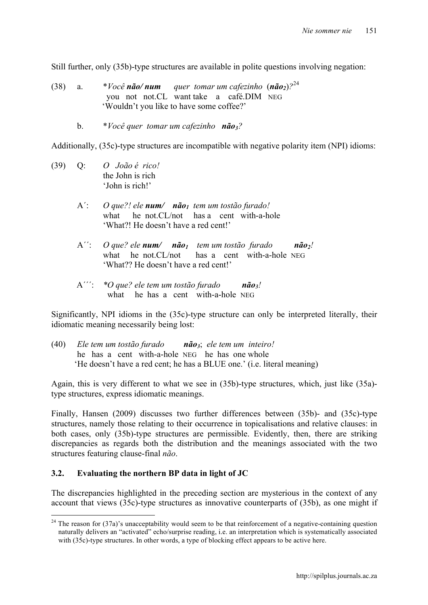Still further, only (35b)-type structures are available in polite questions involving negation:

- (38) a.  $*$ *Você* **não/ num** quer tomar um cafezinho  $(n\tilde{a}o_2)^{24}$  you not not.CL want take a café.DIM NEG 'Wouldn't you like to have some coffee?'
	- b. \**Você quer tomar um cafezinho não3?*

Additionally, (35c)-type structures are incompatible with negative polarity item (NPI) idioms:

- (39) Q: *O João é rico!* the John is rich 'John is rich!'
	- A´: *O que?! ele num/ não1 tem um tostão furado!* what he not.CL/not has a cent with-a-hole 'What?! He doesn't have a red cent!'
	- A'': *O que? ele num/ não<sub>1</sub> tem um tostão furado não<sub>2</sub>!* what he not.CL/not has a cent with-a-hole NEG 'What?? He doesn't have a red cent!'
	- A´´´: *\*O que? ele tem um tostão furado não3!* what he has a cent with-a-hole NEG

Significantly, NPI idioms in the (35c)-type structure can only be interpreted literally, their idiomatic meaning necessarily being lost:

(40) *Ele tem um tostão furado não3*; *ele tem um inteiro!* he has a cent with-a-hole NEG he has one whole 'He doesn't have a red cent; he has a BLUE one.' (i.e. literal meaning)

Again, this is very different to what we see in (35b)-type structures, which, just like (35a) type structures, express idiomatic meanings.

Finally, Hansen (2009) discusses two further differences between (35b)- and (35c)-type structures, namely those relating to their occurrence in topicalisations and relative clauses: in both cases, only (35b)-type structures are permissible. Evidently, then, there are striking discrepancies as regards both the distribution and the meanings associated with the two structures featuring clause-final *não*.

#### **3.2. Evaluating the northern BP data in light of JC**

The discrepancies highlighted in the preceding section are mysterious in the context of any account that views (35c)-type structures as innovative counterparts of (35b), as one might if

 $24$  The reason for (37a)'s unacceptability would seem to be that reinforcement of a negative-containing question naturally delivers an "activated" echo/surprise reading, i.e. an interpretation which is systematically associated with (35c)-type structures. In other words, a type of blocking effect appears to be active here.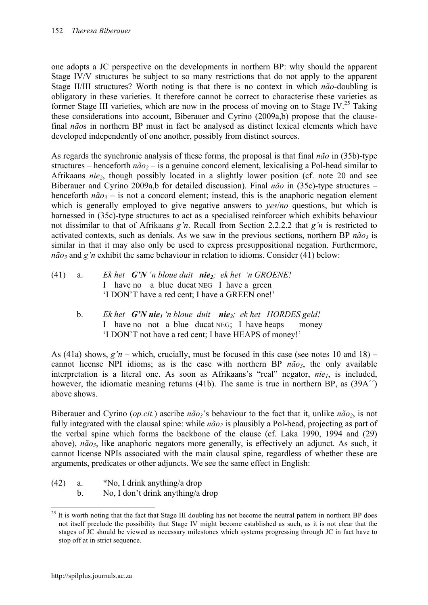one adopts a JC perspective on the developments in northern BP: why should the apparent Stage IV/V structures be subject to so many restrictions that do not apply to the apparent Stage II/III structures? Worth noting is that there is no context in which *não*-doubling is obligatory in these varieties. It therefore cannot be correct to characterise these varieties as former Stage III varieties, which are now in the process of moving on to Stage IV.<sup>25</sup> Taking these considerations into account, Biberauer and Cyrino (2009a,b) propose that the clausefinal *não*s in northern BP must in fact be analysed as distinct lexical elements which have developed independently of one another, possibly from distinct sources.

As regards the synchronic analysis of these forms, the proposal is that final *não* in (35b)-type structures – henceforth  $n\tilde{a}o_2$  – is a genuine concord element, lexicalising a Pol-head similar to Afrikaans *nie2*, though possibly located in a slightly lower position (cf. note 20 and see Biberauer and Cyrino 2009a,b for detailed discussion). Final *não* in (35c)-type structures – henceforth  $n\tilde{a}o_3$  – is not a concord element; instead, this is the anaphoric negation element which is generally employed to give negative answers to *yes*/*no* questions, but which is harnessed in (35c)-type structures to act as a specialised reinforcer which exhibits behaviour not dissimilar to that of Afrikaans *g'n*. Recall from Section 2.2.2.2 that *g'n* is restricted to activated contexts, such as denials. As we saw in the previous sections, northern BP  $n\tilde{a}o_3$  is similar in that it may also only be used to express presuppositional negation. Furthermore,  $n\tilde{a}o_3$  and *g'n* exhibit the same behaviour in relation to idioms. Consider (41) below:

- (41) a. *Ekhet G'N 'n bloue duit nie<sub>2</sub></sub>; ekhet 'n GROENE!*  I have no a blue ducat NEG I have a green 'I DON'T have a red cent; I have a GREEN one!'
	- b. *Ek het G'N nie1 'n bloue duit nie2; ek het HORDES geld!* I have no not a blue ducat NEG; I have heaps money 'I DON'T not have a red cent; I have HEAPS of money!'

As (41a) shows,  $g'n$  – which, crucially, must be focused in this case (see notes 10 and 18) – cannot license NPI idioms; as is the case with northern BP  $n\tilde{a}o_3$ , the only available interpretation is a literal one. As soon as Afrikaans's "real" negator, *nie<sub>l</sub>*, is included, however, the idiomatic meaning returns (41b). The same is true in northern BP, as (39A'') above shows.

Biberauer and Cyrino *(op.cit.)* ascribe *não*<sup>3</sup>'s behaviour to the fact that it, unlike *não*<sub>2</sub>, is not fully integrated with the clausal spine: while  $n\tilde{a}o_2$  is plausibly a Pol-head, projecting as part of the verbal spine which forms the backbone of the clause (cf. Laka 1990, 1994 and (29) above), *não<sub>3</sub>*, like anaphoric negators more generally, is effectively an adjunct. As such, it cannot license NPIs associated with the main clausal spine, regardless of whether these are arguments, predicates or other adjuncts. We see the same effect in English:

- (42) a. \*No, I drink anything/a drop
	- b. No, I don't drink anything/a drop

<sup>&</sup>lt;sup>25</sup> It is worth noting that the fact that Stage III doubling has not become the neutral pattern in northern BP does not itself preclude the possibility that Stage IV might become established as such, as it is not clear that the stages of JC should be viewed as necessary milestones which systems progressing through JC in fact have to stop off at in strict sequence.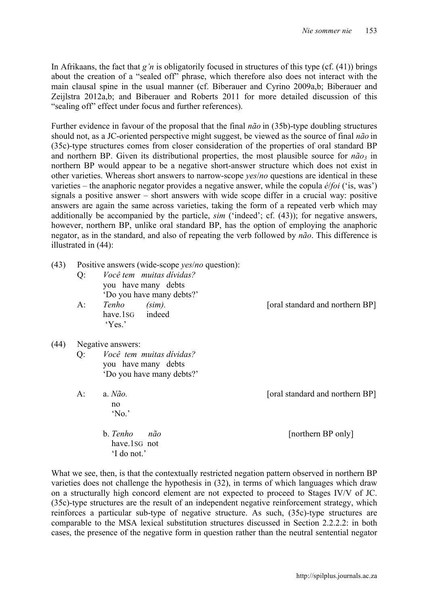In Afrikaans, the fact that *g'n* is obligatorily focused in structures of this type (cf. (41)) brings about the creation of a "sealed off" phrase, which therefore also does not interact with the main clausal spine in the usual manner (cf. Biberauer and Cyrino 2009a,b; Biberauer and Zeijlstra 2012a,b; and Biberauer and Roberts 2011 for more detailed discussion of this "sealing off" effect under focus and further references).

Further evidence in favour of the proposal that the final *não* in (35b)-type doubling structures should not, as a JC-oriented perspective might suggest, be viewed as the source of final *não* in (35c)-type structures comes from closer consideration of the properties of oral standard BP and northern BP. Given its distributional properties, the most plausible source for  $n\tilde{a}o_3$  in northern BP would appear to be a negative short-answer structure which does not exist in other varieties. Whereas short answers to narrow-scope *yes*/*no* questions are identical in these varieties – the anaphoric negator provides a negative answer, while the copula *é*/*foi* ('is, was') signals a positive answer – short answers with wide scope differ in a crucial way: positive answers are again the same across varieties, taking the form of a repeated verb which may additionally be accompanied by the particle, *sim* ('indeed'; cf. (43)); for negative answers, however, northern BP, unlike oral standard BP, has the option of employing the anaphoric negator, as in the standard, and also of repeating the verb followed by *não*. This difference is illustrated in (44):

| (43) | $Q$ :<br>$A$ : | Positive answers (wide-scope <i>yes/no</i> question):<br>Você tem muitas dividas?<br>you have many debts<br>'Do you have many debts?'<br>Tenho (sim).<br>have.1sG indeed<br>Yes. | [oral standard and northern BP] |
|------|----------------|----------------------------------------------------------------------------------------------------------------------------------------------------------------------------------|---------------------------------|
| (44) |                | Negative answers:                                                                                                                                                                |                                 |
|      | $Q$ :          | <i>Você tem muitas dividas?</i><br>you have many debts<br>'Do you have many debts?'                                                                                              |                                 |
|      | A:             | a. $N\tilde{a}o$ .<br>no<br>'No.'                                                                                                                                                | [oral standard and northern BP] |
|      |                | b. Tenho<br>não<br>have.1sG not<br>'I do not.'                                                                                                                                   | [northern BP only]              |

What we see, then, is that the contextually restricted negation pattern observed in northern BP varieties does not challenge the hypothesis in (32), in terms of which languages which draw on a structurally high concord element are not expected to proceed to Stages IV/V of JC. (35c)-type structures are the result of an independent negative reinforcement strategy, which reinforces a particular sub-type of negative structure. As such, (35c)-type structures are comparable to the MSA lexical substitution structures discussed in Section 2.2.2.2: in both cases, the presence of the negative form in question rather than the neutral sentential negator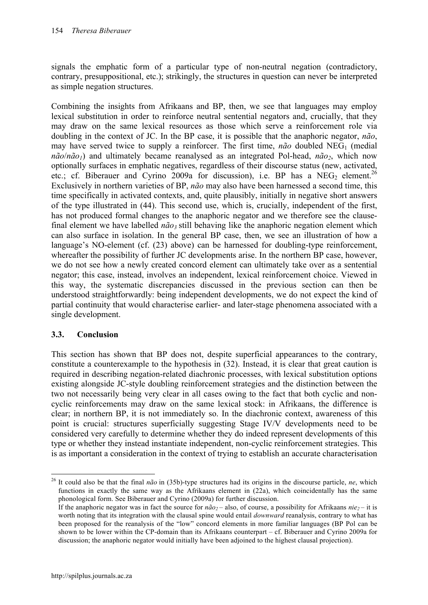signals the emphatic form of a particular type of non-neutral negation (contradictory, contrary, presuppositional, etc.); strikingly, the structures in question can never be interpreted as simple negation structures.

Combining the insights from Afrikaans and BP, then, we see that languages may employ lexical substitution in order to reinforce neutral sentential negators and, crucially, that they may draw on the same lexical resources as those which serve a reinforcement role via doubling in the context of JC. In the BP case, it is possible that the anaphoric negator, *não*, may have served twice to supply a reinforcer. The first time,  $n\tilde{a}o$  doubled NEG<sub>1</sub> (medial  $n\tilde{a}o/n\tilde{a}o_1$  and ultimately became reanalysed as an integrated Pol-head,  $n\tilde{a}o_2$ , which now optionally surfaces in emphatic negatives, regardless of their discourse status (new, activated, etc.; cf. Biberauer and Cyrino 2009a for discussion), i.e. BP has a  $NEG_{2}$  element.<sup>26</sup> Exclusively in northern varieties of BP, *não* may also have been harnessed a second time, this time specifically in activated contexts, and, quite plausibly, initially in negative short answers of the type illustrated in (44). This second use, which is, crucially, independent of the first, has not produced formal changes to the anaphoric negator and we therefore see the clausefinal element we have labelled  $n\tilde{a}o_3$  still behaving like the anaphoric negation element which can also surface in isolation. In the general BP case, then, we see an illustration of how a language's NO-element (cf. (23) above) can be harnessed for doubling-type reinforcement, whereafter the possibility of further JC developments arise. In the northern BP case, however, we do not see how a newly created concord element can ultimately take over as a sentential negator; this case, instead, involves an independent, lexical reinforcement choice. Viewed in this way, the systematic discrepancies discussed in the previous section can then be understood straightforwardly: being independent developments, we do not expect the kind of partial continuity that would characterise earlier- and later-stage phenomena associated with a single development.

# **3.3. Conclusion**

This section has shown that BP does not, despite superficial appearances to the contrary, constitute a counterexample to the hypothesis in (32). Instead, it is clear that great caution is required in describing negation-related diachronic processes, with lexical substitution options existing alongside JC-style doubling reinforcement strategies and the distinction between the two not necessarily being very clear in all cases owing to the fact that both cyclic and noncyclic reinforcements may draw on the same lexical stock: in Afrikaans, the difference is clear; in northern BP, it is not immediately so. In the diachronic context, awareness of this point is crucial: structures superficially suggesting Stage IV/V developments need to be considered very carefully to determine whether they do indeed represent developments of this type or whether they instead instantiate independent, non-cyclic reinforcement strategies. This is as important a consideration in the context of trying to establish an accurate characterisation

 <sup>26</sup> It could also be that the final *não* in (35b)-type structures had its origins in the discourse particle, *ne*, which functions in exactly the same way as the Afrikaans element in (22a), which coincidentally has the same phonological form. See Biberauer and Cyrino (2009a) for further discussion.

If the anaphoric negator was in fact the source for  $n\tilde{a}o_2$  – also, of course, a possibility for Afrikaans  $nie_2$  – it is worth noting that its integration with the clausal spine would entail *downward* reanalysis, contrary to what has been proposed for the reanalysis of the "low" concord elements in more familiar languages (BP Pol can be shown to be lower within the CP-domain than its Afrikaans counterpart – cf. Biberauer and Cyrino 2009a for discussion; the anaphoric negator would initially have been adjoined to the highest clausal projection).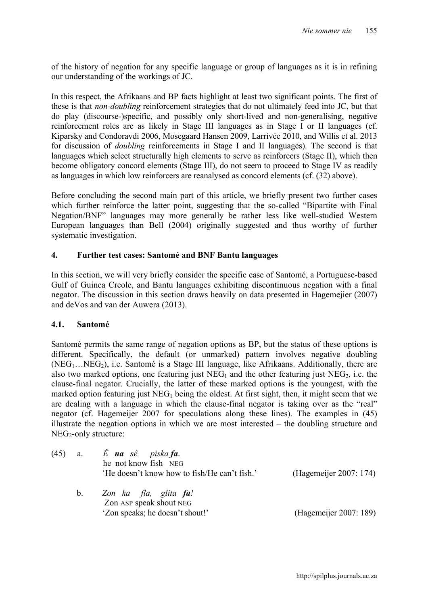of the history of negation for any specific language or group of languages as it is in refining our understanding of the workings of JC.

In this respect, the Afrikaans and BP facts highlight at least two significant points. The first of these is that *non-doubling* reinforcement strategies that do not ultimately feed into JC, but that do play (discourse-)specific, and possibly only short-lived and non-generalising, negative reinforcement roles are as likely in Stage III languages as in Stage I or II languages (cf. Kiparsky and Condoravdi 2006, Mosegaard Hansen 2009, Larrivée 2010, and Willis et al. 2013 for discussion of *doubling* reinforcements in Stage I and II languages). The second is that languages which select structurally high elements to serve as reinforcers (Stage II), which then become obligatory concord elements (Stage III), do not seem to proceed to Stage IV as readily as languages in which low reinforcers are reanalysed as concord elements (cf. (32) above).

Before concluding the second main part of this article, we briefly present two further cases which further reinforce the latter point, suggesting that the so-called "Bipartite with Final Negation/BNF" languages may more generally be rather less like well-studied Western European languages than Bell (2004) originally suggested and thus worthy of further systematic investigation.

#### **4. Further test cases: Santomé and BNF Bantu languages**

In this section, we will very briefly consider the specific case of Santomé, a Portuguese-based Gulf of Guinea Creole, and Bantu languages exhibiting discontinuous negation with a final negator. The discussion in this section draws heavily on data presented in Hagemejier (2007) and deVos and van der Auwera (2013).

#### **4.1. Santomé**

Santomé permits the same range of negation options as BP, but the status of these options is different. Specifically, the default (or unmarked) pattern involves negative doubling  $(NEG_{1}...NEG_{2})$ , i.e. Santomé is a Stage III language, like Afrikaans. Additionally, there are also two marked options, one featuring just  $NEG_{1}$  and the other featuring just  $NEG_{2}$ , i.e. the clause-final negator. Crucially, the latter of these marked options is the youngest, with the marked option featuring just  $NEG_{1}$  being the oldest. At first sight, then, it might seem that we are dealing with a language in which the clause-final negator is taking over as the "real" negator (cf. Hagemeijer 2007 for speculations along these lines). The examples in (45) illustrate the negation options in which we are most interested – the doubling structure and  $NEG_{2}$ -only structure:

| (45) | a.          | $\dot{E}$ na sê piska fa.<br>he not know fish NEG        |                        |  |
|------|-------------|----------------------------------------------------------|------------------------|--|
|      |             | 'He doesn't know how to fish/He can't fish.'             | (Hagemeijer 2007: 174) |  |
|      | $b_{\cdot}$ | Zon ka fla, glita <b>fa</b> !<br>Zon ASP speak shout NEG |                        |  |
|      |             | 'Zon speaks; he doesn't shout!'                          | (Hagemeijer 2007: 189) |  |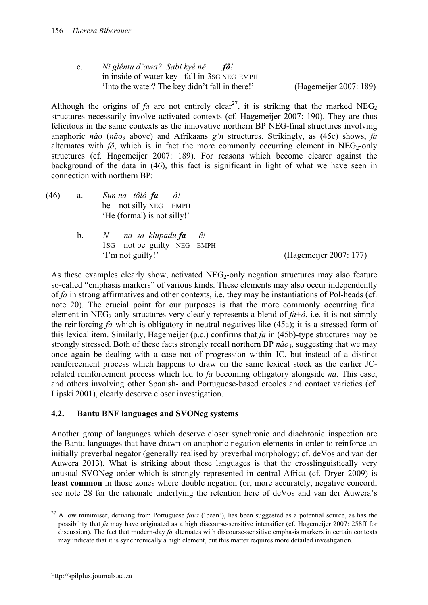c. *Ni glêntu d'awa? Sabi kyê nê fô!* in inside of-water key fall in-3SG NEG-EMPH 'Into the water? The key didn't fall in there!' (Hagemeijer 2007: 189)

Although the origins of *fa* are not entirely clear<sup>27</sup>, it is striking that the marked NEG<sub>2</sub> structures necessarily involve activated contexts (cf. Hagemeijer 2007: 190). They are thus felicitous in the same contexts as the innovative northern BP NEG-final structures involving anaphoric *não* (*não<sub>3</sub>* above) and Afrikaans *g'n* structures. Strikingly, as (45c) shows, *fa* alternates with  $f\hat{o}$ , which is in fact the more commonly occurring element in NEG<sub>2</sub>-only structures (cf. Hagemeijer 2007: 189). For reasons which become clearer against the background of the data in (46), this fact is significant in light of what we have seen in connection with northern BP:

- (46) a. *Sun na tôlô fa ô!* he not silly NEG EMPH 'He (formal) is not silly!'
	- b. *N na sa klupadu fa ê!* 1SG not be guilty NEG EMPH 'I'm not guilty!' (Hagemeijer 2007: 177)

As these examples clearly show, activated  $NEG_2\text{-}only$  negation structures may also feature so-called "emphasis markers" of various kinds. These elements may also occur independently of *fa* in strong affirmatives and other contexts, i.e. they may be instantiations of Pol-heads (cf. note 20). The crucial point for our purposes is that the more commonly occurring final element in NEG<sub>2</sub>-only structures very clearly represents a blend of  $fa+6$ , i.e. it is not simply the reinforcing *fa* which is obligatory in neutral negatives like (45a); it is a stressed form of this lexical item. Similarly, Hagemeijer (p.c.) confirms that *fa* in (45b)-type structures may be strongly stressed. Both of these facts strongly recall northern BP  $n\tilde{a}o_3$ , suggesting that we may once again be dealing with a case not of progression within JC, but instead of a distinct reinforcement process which happens to draw on the same lexical stock as the earlier JCrelated reinforcement process which led to *fa* becoming obligatory alongside *na*. This case, and others involving other Spanish- and Portuguese-based creoles and contact varieties (cf. Lipski 2001), clearly deserve closer investigation.

#### **4.2. Bantu BNF languages and SVONeg systems**

Another group of languages which deserve closer synchronic and diachronic inspection are the Bantu languages that have drawn on anaphoric negation elements in order to reinforce an initially preverbal negator (generally realised by preverbal morphology; cf. deVos and van der Auwera 2013). What is striking about these languages is that the crosslinguistically very unusual SVONeg order which is strongly represented in central Africa (cf. Dryer 2009) is **least common** in those zones where double negation (or, more accurately, negative concord; see note 28 for the rationale underlying the retention here of deVos and van der Auwera's

<sup>&</sup>lt;sup>27</sup> A low minimiser, deriving from Portuguese *fava* ('bean'), has been suggested as a potential source, as has the possibility that *fa* may have originated as a high discourse-sensitive intensifier (cf. Hagemeijer 2007: 258ff for discussion). The fact that modern-day *fa* alternates with discourse-sensitive emphasis markers in certain contexts may indicate that it is synchronically a high element, but this matter requires more detailed investigation.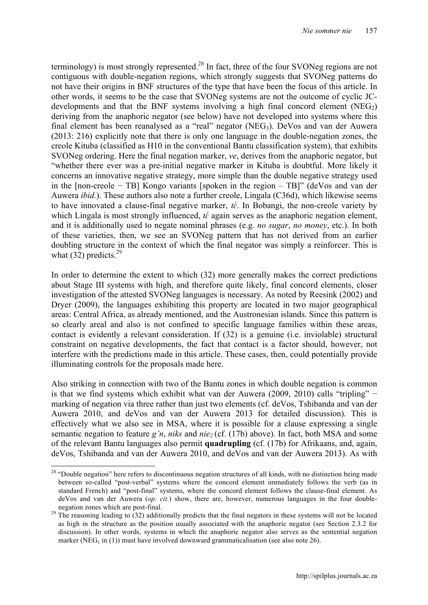terminology) is most strongly represented.<sup>28</sup> In fact, three of the four SVONeg regions are not contiguous with double-negation regions, which strongly suggests that SVONeg patterns do not have their origins in BNF structures of the type that have been the focus of this article. In other words, it seems to be the case that SVONeg systems are not the outcome of cyclic JCdevelopments and that the BNF systems involving a high final concord element  $(NEG_2)$ deriving from the anaphoric negator (see below) have not developed into systems where this final element has been reanalysed as a "real" negator  $(NEG_3)$ . DeVos and van der Auwera (2013: 216) explicitly note that there is only one language in the double-negation zones, the creole Kituba (classified as H10 in the conventional Bantu classification system), that exhibits SVONeg ordering. Here the final negation marker, *ve*, derives from the anaphoric negator, but "whether there ever was a pre-initial negative marker in Kituba is doubtful. More likely it concerns an innovative negative strategy, more simple than the double negative strategy used in the [non-creole − TB] Kongo variants [spoken in the region – TB]" (deVos and van der Auwera *ibid.*). These authors also note a further creole, Lingala (C36d), which likewise seems to have innovated a clause-final negative marker, *tɛ́* . In Bobangi, the non-creole variety by which Lingala is most strongly influenced, *t* $\epsilon$  again serves as the anaphoric negation element, and it is additionally used to negate nominal phrases (e.g. *no sugar*, *no money*, etc.). In both of these varieties, then, we see an SVONeg pattern that has not derived from an earlier doubling structure in the context of which the final negator was simply a reinforcer. This is what  $(32)$  predicts.<sup>29</sup>

In order to determine the extent to which (32) more generally makes the correct predictions about Stage III systems with high, and therefore quite likely, final concord elements, closer investigation of the attested SVONeg languages is necessary. As noted by Reesink (2002) and Dryer (2009), the languages exhibiting this property are located in two major geographical areas: Central Africa, as already mentioned, and the Austronesian islands. Since this pattern is so clearly areal and also is not confined to specific language families within these areas, contact is evidently a relevant consideration. If (32) is a genuine (i.e. inviolable) structural constraint on negative developments, the fact that contact is a factor should, however, not interfere with the predictions made in this article. These cases, then, could potentially provide illuminating controls for the proposals made here.

Also striking in connection with two of the Bantu zones in which double negation is common is that we find systems which exhibit what van der Auwera (2009, 2010) calls "tripling" − marking of negation via three rather than just two elements (cf. deVos, Tshibanda and van der Auwera 2010, and deVos and van der Auwera 2013 for detailed discussion). This is effectively what we also see in MSA, where it is possible for a clause expressing a single semantic negation to feature *g'n*, *niks* and *nie*<sub>2</sub> (cf. (17b) above). In fact, both MSA and some of the relevant Bantu languages also permit **quadrupling** (cf. (17b) for Afrikaans, and, again, deVos, Tshibanda and van der Auwera 2010, and deVos and van der Auwera 2013). As with

<sup>&</sup>lt;sup>28</sup> "Double negation" here refers to discontinuous negation structures of all kinds, with no distinction being made between so-called "post-verbal" systems where the concord element immediately follows the verb (as in standard French) and "post-final" systems, where the concord element follows the clause-final element. As deVos and van der Auwera (*op. cit.*) show, there are, however, numerous languages in the four double-

negation zones which are post-final.<br><sup>29</sup> The reasoning leading to (32) additionally predicts that the final negators in these systems will not be located as high in the structure as the position usually associated with the anaphoric negator (see Section 2.3.2 for discussion). In other words, systems in which the anaphoric negator also serves as the sentential negation marker (NEG<sub>1</sub> in (1)) must have involved downward grammaticalisation (see also note 26).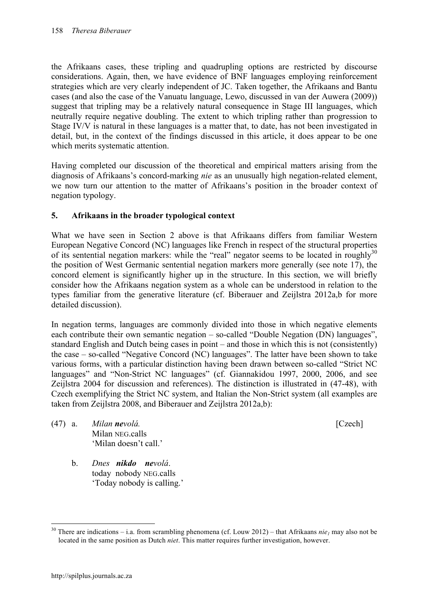the Afrikaans cases, these tripling and quadrupling options are restricted by discourse considerations. Again, then, we have evidence of BNF languages employing reinforcement strategies which are very clearly independent of JC. Taken together, the Afrikaans and Bantu cases (and also the case of the Vanuatu language, Lewo, discussed in van der Auwera (2009)) suggest that tripling may be a relatively natural consequence in Stage III languages, which neutrally require negative doubling. The extent to which tripling rather than progression to Stage IV/V is natural in these languages is a matter that, to date, has not been investigated in detail, but, in the context of the findings discussed in this article, it does appear to be one which merits systematic attention.

Having completed our discussion of the theoretical and empirical matters arising from the diagnosis of Afrikaans's concord-marking *nie* as an unusually high negation-related element, we now turn our attention to the matter of Afrikaans's position in the broader context of negation typology.

# **5. Afrikaans in the broader typological context**

What we have seen in Section 2 above is that Afrikaans differs from familiar Western European Negative Concord (NC) languages like French in respect of the structural properties of its sentential negation markers: while the "real" negator seems to be located in roughly $30$ the position of West Germanic sentential negation markers more generally (see note 17), the concord element is significantly higher up in the structure. In this section, we will briefly consider how the Afrikaans negation system as a whole can be understood in relation to the types familiar from the generative literature (cf. Biberauer and Zeijlstra 2012a,b for more detailed discussion).

In negation terms, languages are commonly divided into those in which negative elements each contribute their own semantic negation – so-called "Double Negation (DN) languages", standard English and Dutch being cases in point – and those in which this is not (consistently) the case – so-called "Negative Concord (NC) languages". The latter have been shown to take various forms, with a particular distinction having been drawn between so-called "Strict NC languages" and "Non-Strict NC languages" (cf. Giannakidou 1997, 2000, 2006, and see Zeijlstra 2004 for discussion and references). The distinction is illustrated in (47-48), with Czech exemplifying the Strict NC system, and Italian the Non-Strict system (all examples are taken from Zeijlstra 2008, and Biberauer and Zeijlstra 2012a,b):

- 
- (47) a. *Milan nevolá.* [Czech] Milan NEG.calls 'Milan doesn't call.'
	- b. *Dnes nikdo nevolá*. today nobody NEG.calls 'Today nobody is calling.'

<sup>&</sup>lt;sup>30</sup> There are indications – i.a. from scrambling phenomena (cf. Louw 2012) – that Afrikaans *nie<sub>l</sub>* may also not be located in the same position as Dutch *niet*. This matter requires further investigation, however.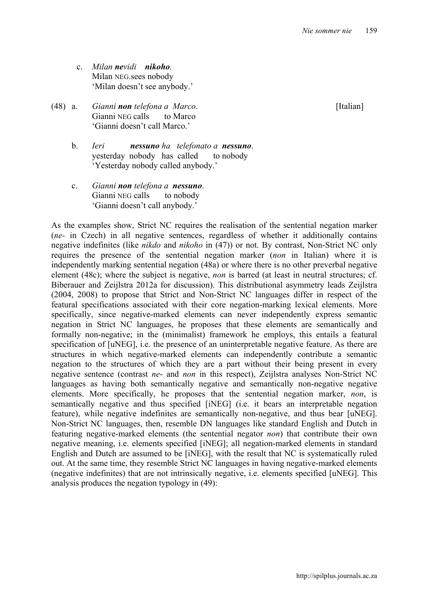- c. *Milan nevidi nikoho.* Milan NEG.sees nobody 'Milan doesn't see anybody.'
- (48) a. *Gianni non telefona a Marco*. [Italian] Gianni NEG calls to Marco 'Gianni doesn't call Marco.'
	- b. *Ieri nessuno ha telefonato a nessuno*. yesterday nobody has called to nobody 'Yesterday nobody called anybody.'
	- c. *Gianni non telefona a nessuno*. Gianni NEG calls to nobody 'Gianni doesn't call anybody.'

As the examples show, Strict NC requires the realisation of the sentential negation marker (*ne-* in Czech) in all negative sentences, regardless of whether it additionally contains negative indefinites (like *nikdo* and *nikoho* in (47)) or not. By contrast, Non-Strict NC only requires the presence of the sentential negation marker (*non* in Italian) where it is independently marking sentential negation (48a) or where there is no other preverbal negative element (48c); where the subject is negative, *non* is barred (at least in neutral structures; cf. Biberauer and Zeijlstra 2012a for discussion). This distributional asymmetry leads Zeijlstra (2004, 2008) to propose that Strict and Non-Strict NC languages differ in respect of the featural specifications associated with their core negation-marking lexical elements. More specifically, since negative-marked elements can never independently express semantic negation in Strict NC languages, he proposes that these elements are semantically and formally non-negative; in the (minimalist) framework he employs, this entails a featural specification of [uNEG], i.e. the presence of an uninterpretable negative feature. As there are structures in which negative-marked elements can independently contribute a semantic negation to the structures of which they are a part without their being present in every negative sentence (contrast *ne*- and *non* in this respect), Zeijlstra analyses Non-Strict NC languages as having both semantically negative and semantically non-negative negative elements. More specifically, he proposes that the sentential negation marker, *non*, is semantically negative and thus specified [iNEG] (i.e. it bears an interpretable negation feature), while negative indefinites are semantically non-negative, and thus bear [uNEG]. Non-Strict NC languages, then, resemble DN languages like standard English and Dutch in featuring negative-marked elements (the sentential negator *non*) that contribute their own negative meaning, i.e. elements specified [iNEG]; all negation-marked elements in standard English and Dutch are assumed to be [iNEG], with the result that NC is systematically ruled out. At the same time, they resemble Strict NC languages in having negative-marked elements (negative indefinites) that are not intrinsically negative, i.e. elements specified [uNEG]. This analysis produces the negation typology in (49):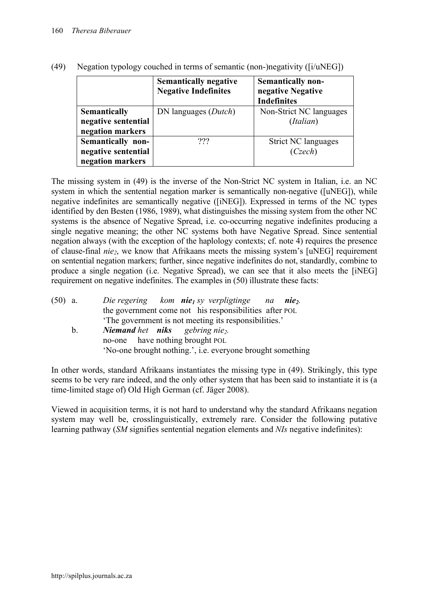|                                         | <b>Semantically negative</b><br><b>Negative Indefinites</b> | <b>Semantically non-</b><br>negative Negative<br><b>Indefinites</b> |
|-----------------------------------------|-------------------------------------------------------------|---------------------------------------------------------------------|
| <b>Semantically</b>                     | DN languages ( <i>Dutch</i> )                               | Non-Strict NC languages                                             |
| negative sentential<br>negation markers |                                                             | (Italian)                                                           |
| Semantically non-                       | ???                                                         | <b>Strict NC languages</b>                                          |
| negative sentential                     |                                                             | (Czech)                                                             |
| negation markers                        |                                                             |                                                                     |

(49) Negation typology couched in terms of semantic (non-)negativity ([i/uNEG])

The missing system in (49) is the inverse of the Non-Strict NC system in Italian, i.e. an NC system in which the sentential negation marker is semantically non-negative ([uNEG]), while negative indefinites are semantically negative ([iNEG]). Expressed in terms of the NC types identified by den Besten (1986, 1989), what distinguishes the missing system from the other NC systems is the absence of Negative Spread, i.e. co-occurring negative indefinites producing a single negative meaning; the other NC systems both have Negative Spread. Since sentential negation always (with the exception of the haplology contexts; cf. note 4) requires the presence of clause-final *nie2*, we know that Afrikaans meets the missing system's [uNEG] requirement on sentential negation markers; further, since negative indefinites do not, standardly, combine to produce a single negation (i.e. Negative Spread), we can see that it also meets the [iNEG] requirement on negative indefinites. The examples in (50) illustrate these facts:

| $(50)$ a. |             | Die regering kom <b>nie</b> <sub>l</sub> sy verpligtinge na<br>$nie2$ . |
|-----------|-------------|-------------------------------------------------------------------------|
|           |             | the government come not his responsibilities after POL                  |
|           |             | The government is not meeting its responsibilities.                     |
|           | $b_{\cdot}$ | <b>Niemand het niks</b> gebring nie <sub>2</sub> .                      |
|           |             | no-one have nothing brought POL                                         |
|           |             | 'No-one brought nothing.', i.e. everyone brought something              |
|           |             |                                                                         |

In other words, standard Afrikaans instantiates the missing type in (49). Strikingly, this type seems to be very rare indeed, and the only other system that has been said to instantiate it is (a time-limited stage of) Old High German (cf. Jäger 2008).

Viewed in acquisition terms, it is not hard to understand why the standard Afrikaans negation system may well be, crosslinguistically, extremely rare. Consider the following putative learning pathway (*SM* signifies sentential negation elements and *NIs* negative indefinites):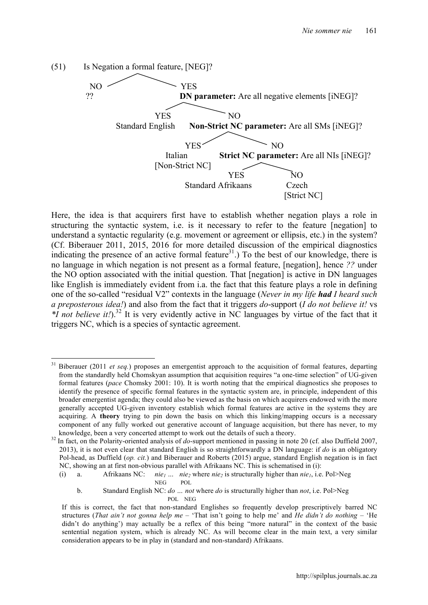

Here, the idea is that acquirers first have to establish whether negation plays a role in structuring the syntactic system, i.e. is it necessary to refer to the feature [negation] to understand a syntactic regularity (e.g. movement or agreement or ellipsis, etc.) in the system? (Cf. Biberauer 2011, 2015, 2016 for more detailed discussion of the empirical diagnostics indicating the presence of an active formal feature<sup>31</sup>.) To the best of our knowledge, there is no language in which negation is not present as a formal feature, [negation], hence *??* under the NO option associated with the initial question. That [negation] is active in DN languages like English is immediately evident from i.a. the fact that this feature plays a role in defining one of the so-called "residual V2" contexts in the language (*Never in my life had I heard such a preposterous idea!*) and also from the fact that it triggers *do*-support (*I do not believe it!* vs \**I not believe it!*).<sup>32</sup> It is very evidently active in NC languages by virtue of the fact that it triggers NC, which is a species of syntactic agreement.

<sup>&</sup>lt;sup>31</sup> Biberauer (2011 *et seq.*) proposes an emergentist approach to the acquisition of formal features, departing from the standardly held Chomskyan assumption that acquisition requires "a one-time selection" of UG-given formal features (*pace* Chomsky 2001: 10). It is worth noting that the empirical diagnostics she proposes to identify the presence of specific formal features in the syntactic system are, in principle, independent of this broader emergentist agenda; they could also be viewed as the basis on which acquirers endowed with the more generally accepted UG-given inventory establish which formal features are active in the systems they are acquiring. A **theory** trying to pin down the basis on which this linking/mapping occurs is a necessary component of any fully worked out generative account of language acquisition, but there has never, to my

knowledge, been a very concerted attempt to work out the details of such a theory. <sup>32</sup> In fact, on the Polarity-oriented analysis of *do*-support mentioned in passing in note 20 (cf. also Duffield 2007, 2013), it is not even clear that standard English is so straightforwardly a DN language: if *do* is an obligatory Pol-head, as Duffield (*op. cit.*) and Biberauer and Roberts (2015) argue, standard English negation is in fact NC, showing an at first non-obvious parallel with Afrikaans NC. This is schematised in (i):

<sup>(</sup>i) a. Afrikaans NC: *nie<sub>l</sub>* ... *nie<sub>2</sub>* where *nie<sub>2</sub>* is structurally higher than *nie<sub>l</sub>*, i.e. Pol>Neg NEG POL

b. Standard English NC: *do … not* where *do* is structurally higher than *not*, i.e. Pol>Neg POL NEG

If this is correct, the fact that non-standard Englishes so frequently develop prescriptively barred NC structures (*That ain't not gonna help me* – 'That isn't going to help me' and *He didn't do nothing* – 'He didn't do anything') may actually be a reflex of this being "more natural" in the context of the basic sentential negation system, which is already NC. As will become clear in the main text, a very similar consideration appears to be in play in (standard and non-standard) Afrikaans.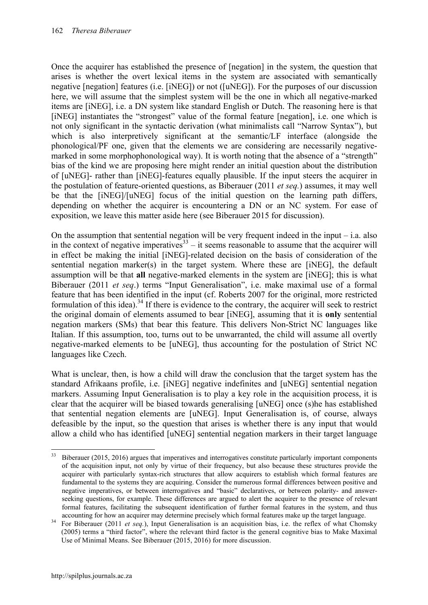Once the acquirer has established the presence of [negation] in the system, the question that arises is whether the overt lexical items in the system are associated with semantically negative [negation] features (i.e. [iNEG]) or not ([uNEG]). For the purposes of our discussion here, we will assume that the simplest system will be the one in which all negative-marked items are [iNEG], i.e. a DN system like standard English or Dutch. The reasoning here is that [iNEG] instantiates the "strongest" value of the formal feature [negation], i.e. one which is not only significant in the syntactic derivation (what minimalists call "Narrow Syntax"), but which is also interpretively significant at the semantic/LF interface (alongside the phonological/PF one, given that the elements we are considering are necessarily negativemarked in some morphophonological way). It is worth noting that the absence of a "strength" bias of the kind we are proposing here might render an initial question about the distribution of [uNEG]- rather than [iNEG]-features equally plausible. If the input steers the acquirer in the postulation of feature-oriented questions, as Biberauer (2011 *et seq.*) assumes, it may well be that the [iNEG]/[uNEG] focus of the initial question on the learning path differs, depending on whether the acquirer is encountering a DN or an NC system. For ease of exposition, we leave this matter aside here (see Biberauer 2015 for discussion).

On the assumption that sentential negation will be very frequent indeed in the input  $-$  i.a. also in the context of negative imperatives  $33$  – it seems reasonable to assume that the acquirer will in effect be making the initial [iNEG]-related decision on the basis of consideration of the sentential negation marker(s) in the target system. Where these are [iNEG], the default assumption will be that **all** negative-marked elements in the system are [iNEG]; this is what Biberauer (2011 *et seq*.) terms "Input Generalisation", i.e. make maximal use of a formal feature that has been identified in the input (cf. Roberts 2007 for the original, more restricted formulation of this idea).<sup>34</sup> If there is evidence to the contrary, the acquirer will seek to restrict the original domain of elements assumed to bear [iNEG], assuming that it is **only** sentential negation markers (SMs) that bear this feature. This delivers Non-Strict NC languages like Italian. If this assumption, too, turns out to be unwarranted, the child will assume all overtly negative-marked elements to be [uNEG], thus accounting for the postulation of Strict NC languages like Czech.

What is unclear, then, is how a child will draw the conclusion that the target system has the standard Afrikaans profile, i.e. [iNEG] negative indefinites and [uNEG] sentential negation markers. Assuming Input Generalisation is to play a key role in the acquisition process, it is clear that the acquirer will be biased towards generalising [uNEG] once (s)he has established that sentential negation elements are [uNEG]. Input Generalisation is, of course, always defeasible by the input, so the question that arises is whether there is any input that would allow a child who has identified [uNEG] sentential negation markers in their target language

<sup>&</sup>lt;sup>33</sup> Biberauer (2015, 2016) argues that imperatives and interrogatives constitute particularly important components of the acquisition input, not only by virtue of their frequency, but also because these structures provide the acquirer with particularly syntax-rich structures that allow acquirers to establish which formal features are fundamental to the systems they are acquiring. Consider the numerous formal differences between positive and negative imperatives, or between interrogatives and "basic" declaratives, or between polarity- and answerseeking questions, for example. These differences are argued to alert the acquirer to the presence of relevant formal features, facilitating the subsequent identification of further formal features in the system, and thus

accounting for how an acquirer may determine precisely which formal features make up the target language.<br><sup>34</sup> For Biberauer (2011 *et seq.*), Input Generalisation is an acquisition bias, i.e. the reflex of what Chomsky (2005) terms a "third factor", where the relevant third factor is the general cognitive bias to Make Maximal Use of Minimal Means. See Biberauer (2015, 2016) for more discussion.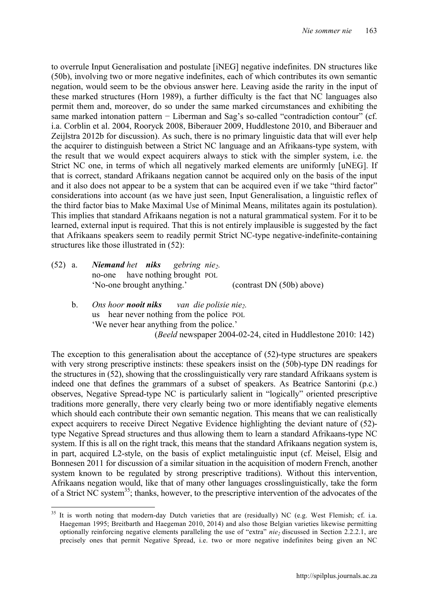to overrule Input Generalisation and postulate [iNEG] negative indefinites. DN structures like (50b), involving two or more negative indefinites, each of which contributes its own semantic negation, would seem to be the obvious answer here. Leaving aside the rarity in the input of these marked structures (Horn 1989), a further difficulty is the fact that NC languages also permit them and, moreover, do so under the same marked circumstances and exhibiting the same marked intonation pattern – Liberman and Sag's so-called "contradiction contour" (cf. i.a. Corblin et al. 2004, Rooryck 2008, Biberauer 2009, Huddlestone 2010, and Biberauer and Zeijlstra 2012b for discussion). As such, there is no primary linguistic data that will ever help the acquirer to distinguish between a Strict NC language and an Afrikaans-type system, with the result that we would expect acquirers always to stick with the simpler system, i.e. the Strict NC one, in terms of which all negatively marked elements are uniformly [uNEG]. If that is correct, standard Afrikaans negation cannot be acquired only on the basis of the input and it also does not appear to be a system that can be acquired even if we take "third factor" considerations into account (as we have just seen, Input Generalisation, a linguistic reflex of the third factor bias to Make Maximal Use of Minimal Means, militates again its postulation). This implies that standard Afrikaans negation is not a natural grammatical system. For it to be learned, external input is required. That this is not entirely implausible is suggested by the fact that Afrikaans speakers seem to readily permit Strict NC-type negative-indefinite-containing structures like those illustrated in (52):

- (52) a. *Niemand het niks gebring nie2.* no-one have nothing brought POL 'No-one brought anything.' (contrast DN (50b) above)
	- b. *Ons hoor nooit niks van die polisie nie2.* us hear never nothing from the police POL 'We never hear anything from the police.' (*Beeld* newspaper 2004-02-24, cited in Huddlestone 2010: 142)

The exception to this generalisation about the acceptance of (52)-type structures are speakers with very strong prescriptive instincts: these speakers insist on the (50b)-type DN readings for the structures in (52), showing that the crosslinguistically very rare standard Afrikaans system is indeed one that defines the grammars of a subset of speakers. As Beatrice Santorini (p.c.) observes, Negative Spread-type NC is particularly salient in "logically" oriented prescriptive traditions more generally, there very clearly being two or more identifiably negative elements which should each contribute their own semantic negation. This means that we can realistically expect acquirers to receive Direct Negative Evidence highlighting the deviant nature of (52) type Negative Spread structures and thus allowing them to learn a standard Afrikaans-type NC system. If this is all on the right track, this means that the standard Afrikaans negation system is, in part, acquired L2-style, on the basis of explict metalinguistic input (cf. Meisel, Elsig and Bonnesen 2011 for discussion of a similar situation in the acquisition of modern French, another system known to be regulated by strong prescriptive traditions). Without this intervention, Afrikaans negation would, like that of many other languages crosslinguistically, take the form of a Strict NC system<sup>35</sup>; thanks, however, to the prescriptive intervention of the advocates of the

<sup>&</sup>lt;sup>35</sup> It is worth noting that modern-day Dutch varieties that are (residually) NC (e.g. West Flemish; cf. i.a. Haegeman 1995; Breitbarth and Haegeman 2010, 2014) and also those Belgian varieties likewise permitting optionally reinforcing negative elements paralleling the use of "extra" *nie*<sub>2</sub> discussed in Section 2.2.2.1, are precisely ones that permit Negative Spread, i.e. two or more negative indefinites being given an NC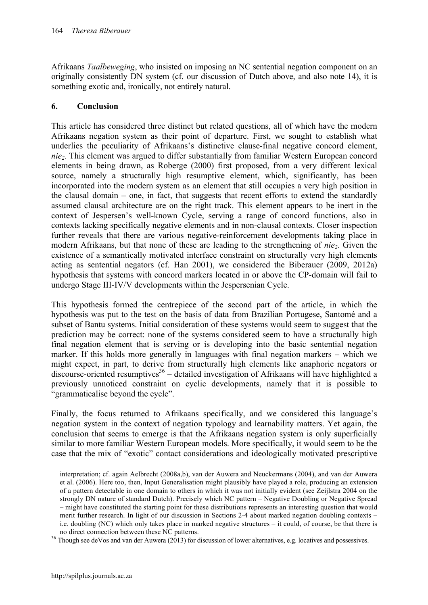Afrikaans *Taalbeweging*, who insisted on imposing an NC sentential negation component on an originally consistently DN system (cf. our discussion of Dutch above, and also note 14), it is something exotic and, ironically, not entirely natural.

# **6. Conclusion**

This article has considered three distinct but related questions, all of which have the modern Afrikaans negation system as their point of departure. First, we sought to establish what underlies the peculiarity of Afrikaans's distinctive clause-final negative concord element, *nie2*. This element was argued to differ substantially from familiar Western European concord elements in being drawn, as Roberge (2000) first proposed, from a very different lexical source, namely a structurally high resumptive element, which, significantly, has been incorporated into the modern system as an element that still occupies a very high position in the clausal domain – one, in fact, that suggests that recent efforts to extend the standardly assumed clausal architecture are on the right track. This element appears to be inert in the context of Jespersen's well-known Cycle, serving a range of concord functions, also in contexts lacking specifically negative elements and in non-clausal contexts. Closer inspection further reveals that there are various negative-reinforcement developments taking place in modern Afrikaans, but that none of these are leading to the strengthening of *nie*<sub>2</sub>. Given the existence of a semantically motivated interface constraint on structurally very high elements acting as sentential negators (cf. Han 2001), we considered the Biberauer (2009, 2012a) hypothesis that systems with concord markers located in or above the CP-domain will fail to undergo Stage III-IV/V developments within the Jespersenian Cycle.

This hypothesis formed the centrepiece of the second part of the article, in which the hypothesis was put to the test on the basis of data from Brazilian Portugese, Santomé and a subset of Bantu systems. Initial consideration of these systems would seem to suggest that the prediction may be correct: none of the systems considered seem to have a structurally high final negation element that is serving or is developing into the basic sentential negation marker. If this holds more generally in languages with final negation markers – which we might expect, in part, to derive from structurally high elements like anaphoric negators or discourse-oriented resumptives<sup>36</sup> – detailed investigation of Afrikaans will have highlighted a previously unnoticed constraint on cyclic developments, namely that it is possible to "grammaticalise beyond the cycle".

Finally, the focus returned to Afrikaans specifically, and we considered this language's negation system in the context of negation typology and learnability matters. Yet again, the conclusion that seems to emerge is that the Afrikaans negation system is only superficially similar to more familiar Western European models. More specifically, it would seem to be the case that the mix of "exotic" contact considerations and ideologically motivated prescriptive

interpretation; cf. again Aelbrecht (2008a,b), van der Auwera and Neuckermans (2004), and van der Auwera et al. (2006). Here too, then, Input Generalisation might plausibly have played a role, producing an extension of a pattern detectable in one domain to others in which it was not initially evident (see Zeijlstra 2004 on the strongly DN nature of standard Dutch). Precisely which NC pattern – Negative Doubling or Negative Spread – might have constituted the starting point for these distributions represents an interesting question that would merit further research. In light of our discussion in Sections 2-4 about marked negation doubling contexts – i.e. doubling (NC) which only takes place in marked negative structures – it could, of course, be that there is

no direct connection between these NC patterns. <sup>36</sup> Though see deVos and van der Auwera (2013) for discussion of lower alternatives, e.g. locatives and possessives.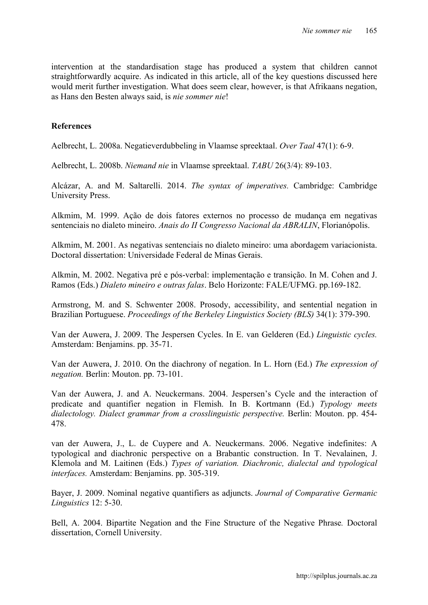intervention at the standardisation stage has produced a system that children cannot straightforwardly acquire. As indicated in this article, all of the key questions discussed here would merit further investigation. What does seem clear, however, is that Afrikaans negation, as Hans den Besten always said, is *nie sommer nie*!

#### **References**

Aelbrecht, L. 2008a. Negatieverdubbeling in Vlaamse spreektaal. *Over Taal* 47(1): 6-9.

Aelbrecht, L. 2008b. *Niemand nie* in Vlaamse spreektaal. *TABU* 26(3/4): 89-103.

Alcázar, A. and M. Saltarelli. 2014. *The syntax of imperatives.* Cambridge: Cambridge University Press.

Alkmim, M. 1999. Ação de dois fatores externos no processo de mudança em negativas sentenciais no dialeto mineiro. *Anais do II Congresso Nacional da ABRALIN*, Florianópolis.

Alkmim, M. 2001. As negativas sentenciais no dialeto mineiro: uma abordagem variacionista. Doctoral dissertation: Universidade Federal de Minas Gerais.

Alkmin, M. 2002. Negativa pré e pós-verbal: implementação e transição. In M. Cohen and J. Ramos (Eds.) *Dialeto mineiro e outras falas*. Belo Horizonte: FALE/UFMG. pp.169-182.

Armstrong, M. and S. Schwenter 2008. Prosody, accessibility, and sentential negation in Brazilian Portuguese. *Proceedings of the Berkeley Linguistics Society (BLS)* 34(1): 379-390.

Van der Auwera, J. 2009. The Jespersen Cycles. In E. van Gelderen (Ed.) *Linguistic cycles.*  Amsterdam: Benjamins. pp. 35-71.

Van der Auwera, J. 2010. On the diachrony of negation. In L. Horn (Ed.) *The expression of negation.* Berlin: Mouton. pp. 73-101.

Van der Auwera, J. and A. Neuckermans. 2004. Jespersen's Cycle and the interaction of predicate and quantifier negation in Flemish. In B. Kortmann (Ed.) *Typology meets dialectology. Dialect grammar from a crosslinguistic perspective.* Berlin: Mouton. pp. 454- 478.

van der Auwera, J., L. de Cuypere and A. Neuckermans. 2006. Negative indefinites: A typological and diachronic perspective on a Brabantic construction. In T. Nevalainen, J. Klemola and M. Laitinen (Eds.) *Types of variation. Diachronic, dialectal and typological interfaces.* Amsterdam: Benjamins. pp. 305-319.

Bayer, J. 2009. Nominal negative quantifiers as adjuncts. *Journal of Comparative Germanic Linguistics* 12: 5-30.

Bell, A. 2004. Bipartite Negation and the Fine Structure of the Negative Phrase*.* Doctoral dissertation, Cornell University.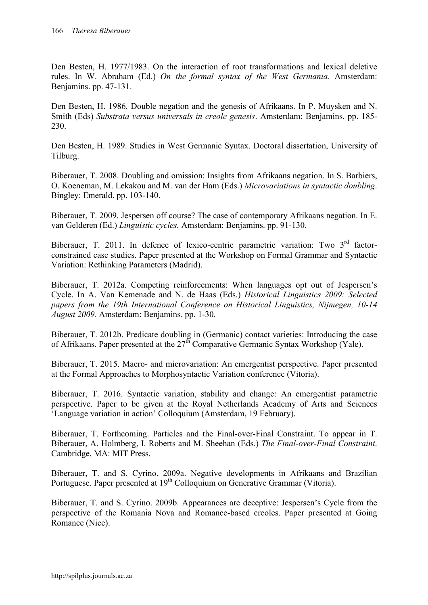Den Besten, H. 1977/1983. On the interaction of root transformations and lexical deletive rules. In W. Abraham (Ed.) *On the formal syntax of the West Germania*. Amsterdam: Benjamins. pp. 47-131.

Den Besten, H. 1986. Double negation and the genesis of Afrikaans. In P. Muysken and N. Smith (Eds) *Substrata versus universals in creole genesis*. Amsterdam: Benjamins. pp. 185- 230.

Den Besten, H. 1989. Studies in West Germanic Syntax. Doctoral dissertation, University of Tilburg.

Biberauer, T. 2008. Doubling and omission: Insights from Afrikaans negation. In S. Barbiers, O. Koeneman, M. Lekakou and M. van der Ham (Eds.) *Microvariations in syntactic doubling*. Bingley: Emerald. pp. 103-140.

Biberauer, T. 2009. Jespersen off course? The case of contemporary Afrikaans negation. In E. van Gelderen (Ed.) *Linguistic cycles.* Amsterdam: Benjamins. pp. 91-130.

Biberauer, T. 2011. In defence of lexico-centric parametric variation: Two 3<sup>rd</sup> factorconstrained case studies. Paper presented at the Workshop on Formal Grammar and Syntactic Variation: Rethinking Parameters (Madrid).

Biberauer, T. 2012a. Competing reinforcements: When languages opt out of Jespersen's Cycle. In A. Van Kemenade and N. de Haas (Eds.) *Historical Linguistics 2009: Selected papers from the 19th International Conference on Historical Linguistics, Nijmegen, 10-14 August 2009.* Amsterdam: Benjamins. pp. 1-30.

Biberauer, T. 2012b. Predicate doubling in (Germanic) contact varieties: Introducing the case of Afrikaans. Paper presented at the 27th Comparative Germanic Syntax Workshop (Yale).

Biberauer, T. 2015. Macro- and microvariation: An emergentist perspective. Paper presented at the Formal Approaches to Morphosyntactic Variation conference (Vitoria).

Biberauer, T. 2016. Syntactic variation, stability and change: An emergentist parametric perspective. Paper to be given at the Royal Netherlands Academy of Arts and Sciences 'Language variation in action' Colloquium (Amsterdam, 19 February).

Biberauer, T. Forthcoming. Particles and the Final-over-Final Constraint. To appear in T. Biberauer, A. Holmberg, I. Roberts and M. Sheehan (Eds.) *The Final-over-Final Constraint*. Cambridge, MA: MIT Press.

Biberauer, T. and S. Cyrino. 2009a. Negative developments in Afrikaans and Brazilian Portuguese. Paper presented at 19<sup>th</sup> Colloquium on Generative Grammar (Vitoria).

Biberauer, T. and S. Cyrino. 2009b. Appearances are deceptive: Jespersen's Cycle from the perspective of the Romania Nova and Romance-based creoles. Paper presented at Going Romance (Nice).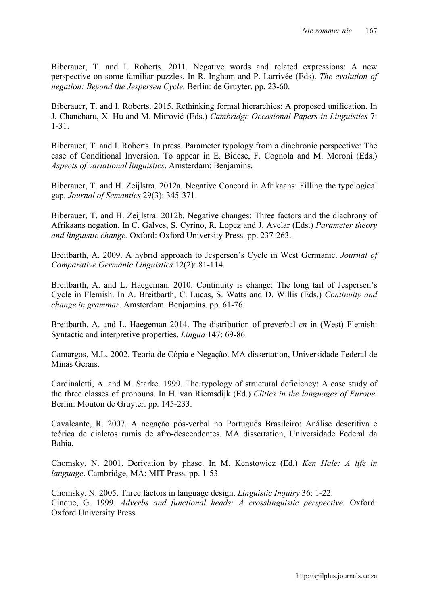Biberauer, T. and I. Roberts. 2011. Negative words and related expressions: A new perspective on some familiar puzzles. In R. Ingham and P. Larrivée (Eds). *The evolution of negation: Beyond the Jespersen Cycle.* Berlin: de Gruyter. pp. 23-60.

Biberauer, T. and I. Roberts. 2015. Rethinking formal hierarchies: A proposed unification. In J. Chancharu, X. Hu and M. Mitrović (Eds.) *Cambridge Occasional Papers in Linguistics* 7: 1-31.

Biberauer, T. and I. Roberts. In press. Parameter typology from a diachronic perspective: The case of Conditional Inversion. To appear in E. Bidese, F. Cognola and M. Moroni (Eds.) *Aspects of variational linguistics*. Amsterdam: Benjamins.

Biberauer, T. and H. Zeijlstra. 2012a. Negative Concord in Afrikaans: Filling the typological gap. *Journal of Semantics* 29(3): 345-371.

Biberauer, T. and H. Zeijlstra. 2012b. Negative changes: Three factors and the diachrony of Afrikaans negation. In C. Galves, S. Cyrino, R. Lopez and J. Avelar (Eds.) *Parameter theory and linguistic change.* Oxford: Oxford University Press. pp. 237-263.

Breitbarth, A. 2009. A hybrid approach to Jespersen's Cycle in West Germanic. *Journal of Comparative Germanic Linguistics* 12(2): 81-114.

Breitbarth, A. and L. Haegeman. 2010. Continuity is change: The long tail of Jespersen's Cycle in Flemish. In A. Breitbarth, C. Lucas, S. Watts and D. Willis (Eds.) *Continuity and change in grammar*. Amsterdam: Benjamins. pp. 61-76.

Breitbarth. A. and L. Haegeman 2014. The distribution of preverbal *en* in (West) Flemish: Syntactic and interpretive properties. *Lingua* 147: 69-86.

Camargos, M.L. 2002. Teoria de Cópia e Negação. MA dissertation, Universidade Federal de Minas Gerais.

Cardinaletti, A. and M. Starke. 1999. The typology of structural deficiency: A case study of the three classes of pronouns. In H. van Riemsdijk (Ed.) *Clitics in the languages of Europe.*  Berlin: Mouton de Gruyter. pp. 145-233.

Cavalcante, R. 2007. A negação pós-verbal no Português Brasileiro: Análise descritiva e teórica de dialetos rurais de afro-descendentes. MA dissertation, Universidade Federal da Bahia.

Chomsky, N. 2001. Derivation by phase. In M. Kenstowicz (Ed.) *Ken Hale: A life in language*. Cambridge, MA: MIT Press. pp. 1-53.

Chomsky, N. 2005. Three factors in language design. *Linguistic Inquiry* 36: 1-22. Cinque, G. 1999. *Adverbs and functional heads: A crosslinguistic perspective.* Oxford: Oxford University Press.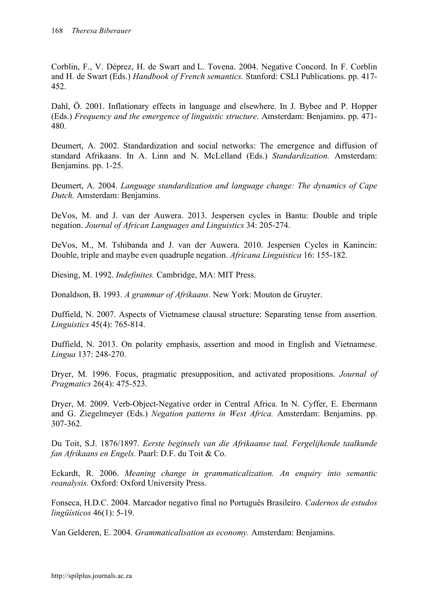Corblin, F., V. Déprez, H. de Swart and L. Tovena. 2004. Negative Concord. In F. Corblin and H. de Swart (Eds.) *Handbook of French semantics.* Stanford: CSLI Publications. pp. 417- 452.

Dahl, Ö. 2001. Inflationary effects in language and elsewhere. In J. Bybee and P. Hopper (Eds.) *Frequency and the emergence of linguistic structure*. Amsterdam: Benjamins. pp. 471- 480.

Deumert, A. 2002. Standardization and social networks: The emergence and diffusion of standard Afrikaans. In A. Linn and N. McLelland (Eds.) *Standardization.* Amsterdam: Benjamins. pp. 1-25.

Deumert, A. 2004. *Language standardization and language change: The dynamics of Cape Dutch.* Amsterdam: Benjamins.

DeVos, M. and J. van der Auwera. 2013. Jespersen cycles in Bantu: Double and triple negation. *Journal of African Languages and Linguistics* 34: 205-274.

DeVos, M., M. Tshibanda and J. van der Auwera. 2010. Jespersen Cycles in Kanincin: Double, triple and maybe even quadruple negation. *Africana Linguistica* 16: 155-182.

Diesing, M. 1992. *Indefinites.* Cambridge, MA: MIT Press.

Donaldson, B. 1993. *A grammar of Afrikaans.* New York: Mouton de Gruyter.

Duffield, N. 2007. Aspects of Vietnamese clausal structure: Separating tense from assertion. *Linguistics* 45(4): 765-814.

Duffield, N. 2013. On polarity emphasis, assertion and mood in English and Vietnamese. *Lingua* 137: 248-270.

Dryer, M. 1996. Focus, pragmatic presupposition, and activated propositions. *Journal of Pragmatics* 26(4): 475-523.

Dryer, M. 2009. Verb-Object-Negative order in Central Africa. In N. Cyffer, E. Ebermann and G. Ziegelmeyer (Eds.) *Negation patterns in West Africa.* Amsterdam: Benjamins. pp. 307-362.

Du Toit, S.J. 1876/1897. *Eerste beginsels van die Afrikaanse taal. Fergelijkende taalkunde fan Afrikaans en Engels.* Paarl: D.F. du Toit & Co.

Eckardt, R. 2006. *Meaning change in grammaticalization. An enquiry into semantic reanalysis.* Oxford: Oxford University Press.

Fonseca, H.D.C. 2004. Marcador negativo final no Português Brasileiro. *Cadernos de estudos lingüísticos* 46(1): 5-19.

Van Gelderen, E. 2004. *Grammaticalisation as economy.* Amsterdam: Benjamins.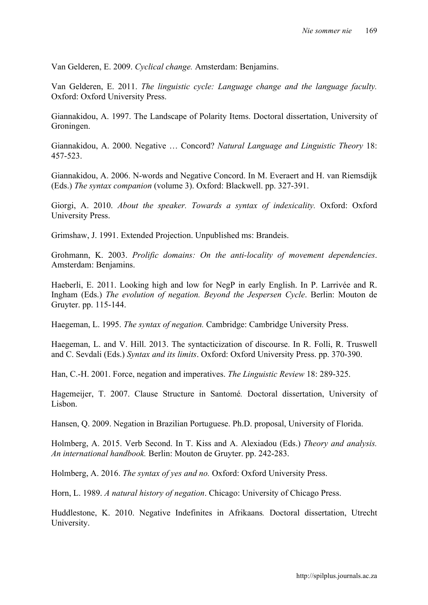Van Gelderen, E. 2009. *Cyclical change.* Amsterdam: Benjamins.

Van Gelderen, E. 2011. *The linguistic cycle: Language change and the language faculty.*  Oxford: Oxford University Press.

Giannakidou, A. 1997. The Landscape of Polarity Items. Doctoral dissertation, University of Groningen.

Giannakidou, A. 2000. Negative … Concord? *Natural Language and Linguistic Theory* 18: 457-523.

Giannakidou, A. 2006. N-words and Negative Concord. In M. Everaert and H. van Riemsdijk (Eds.) *The syntax companion* (volume 3). Oxford: Blackwell. pp. 327-391.

Giorgi, A. 2010. *About the speaker. Towards a syntax of indexicality.* Oxford: Oxford University Press.

Grimshaw, J. 1991. Extended Projection. Unpublished ms: Brandeis.

Grohmann, K. 2003. *Prolific domains: On the anti-locality of movement dependencies*. Amsterdam: Benjamins.

Haeberli, E. 2011. Looking high and low for NegP in early English. In P. Larrivée and R. Ingham (Eds.) *The evolution of negation. Beyond the Jespersen Cycle*. Berlin: Mouton de Gruyter. pp. 115-144.

Haegeman, L. 1995. *The syntax of negation.* Cambridge: Cambridge University Press.

Haegeman, L. and V. Hill. 2013. The syntacticization of discourse. In R. Folli, R. Truswell and C. Sevdali (Eds.) *Syntax and its limits*. Oxford: Oxford University Press. pp. 370-390.

Han, C.-H. 2001. Force, negation and imperatives. *The Linguistic Review* 18: 289-325.

Hagemeijer, T. 2007. Clause Structure in Santomé*.* Doctoral dissertation, University of Lisbon.

Hansen, Q. 2009. Negation in Brazilian Portuguese. Ph.D. proposal, University of Florida.

Holmberg, A. 2015. Verb Second. In T. Kiss and A. Alexiadou (Eds.) *Theory and analysis. An international handbook.* Berlin: Mouton de Gruyter. pp. 242-283.

Holmberg, A. 2016. *The syntax of yes and no.* Oxford: Oxford University Press.

Horn, L. 1989. *A natural history of negation*. Chicago: University of Chicago Press.

Huddlestone, K. 2010. Negative Indefinites in Afrikaans*.* Doctoral dissertation, Utrecht University.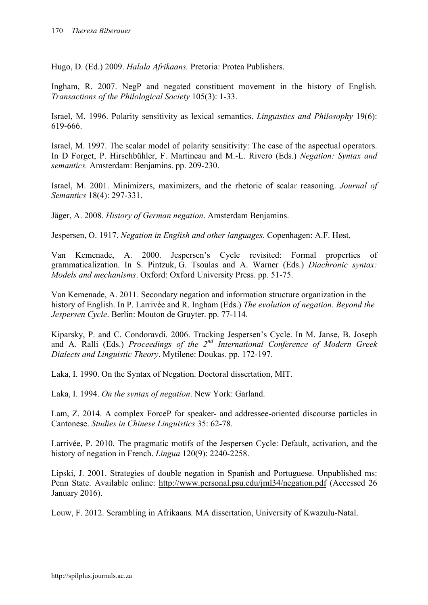Hugo, D. (Ed.) 2009. *Halala Afrikaans.* Pretoria: Protea Publishers.

Ingham, R. 2007. NegP and negated constituent movement in the history of English*. Transactions of the Philological Society* 105(3): 1-33.

Israel, M. 1996. Polarity sensitivity as lexical semantics. *Linguistics and Philosophy* 19(6): 619-666.

Israel, M. 1997. The scalar model of polarity sensitivity: The case of the aspectual operators. In D Forget, P. Hirschbühler, F. Martineau and M.-L. Rivero (Eds.) *Negation: Syntax and semantics.* Amsterdam: Benjamins. pp. 209-230.

Israel, M. 2001. Minimizers, maximizers, and the rhetoric of scalar reasoning. *Journal of Semantics* 18(4): 297-331.

Jäger, A. 2008. *History of German negation*. Amsterdam Benjamins.

Jespersen, O. 1917. *Negation in English and other languages.* Copenhagen: A.F. Høst.

Van Kemenade, A. 2000. Jespersen's Cycle revisited: Formal properties of grammaticalization. In S. Pintzuk, G. Tsoulas and A. Warner (Eds.) *Diachronic syntax: Models and mechanisms*. Oxford: Oxford University Press. pp. 51-75.

Van Kemenade, A. 2011. Secondary negation and information structure organization in the history of English. In P. Larrivée and R. Ingham (Eds.) *The evolution of negation. Beyond the Jespersen Cycle*. Berlin: Mouton de Gruyter. pp. 77-114.

Kiparsky, P. and C. Condoravdi. 2006. Tracking Jespersen's Cycle. In M. Janse, B. Joseph and A. Ralli (Eds.) *Proceedings of the 2nd International Conference of Modern Greek Dialects and Linguistic Theory*. Mytilene: Doukas. pp. 172-197.

Laka, I. 1990. On the Syntax of Negation. Doctoral dissertation, MIT.

Laka, I. 1994. *On the syntax of negation*. New York: Garland.

Lam, Z. 2014. A complex ForceP for speaker- and addressee-oriented discourse particles in Cantonese. *Studies in Chinese Linguistics* 35: 62-78.

Larrivée, P. 2010. The pragmatic motifs of the Jespersen Cycle: Default, activation, and the history of negation in French. *Lingua* 120(9): 2240-2258.

Lipski, J. 2001. Strategies of double negation in Spanish and Portuguese. Unpublished ms: Penn State. Available online: http://www.personal.psu.edu/jml34/negation.pdf (Accessed 26 January 2016).

Louw, F. 2012. Scrambling in Afrikaans*.* MA dissertation, University of Kwazulu-Natal.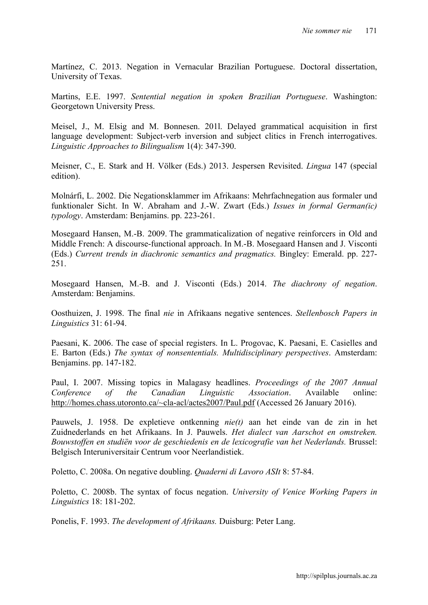Martínez, C. 2013. Negation in Vernacular Brazilian Portuguese. Doctoral dissertation, University of Texas.

Martins, E.E. 1997. *Sentential negation in spoken Brazilian Portuguese*. Washington: Georgetown University Press.

Meisel, J., M. Elsig and M. Bonnesen. 201l. Delayed grammatical acquisition in first language development: Subject-verb inversion and subject clitics in French interrogatives. *Linguistic Approaches to Bilingualism* 1(4): 347-390.

Meisner, C., E. Stark and H. Völker (Eds.) 2013. Jespersen Revisited. *Lingua* 147 (special edition).

Molnárfi, L. 2002. Die Negationsklammer im Afrikaans: Mehrfachnegation aus formaler und funktionaler Sicht. In W. Abraham and J.-W. Zwart (Eds.) *Issues in formal German(ic) typology*. Amsterdam: Benjamins. pp. 223-261.

Mosegaard Hansen, M.-B. 2009. The grammaticalization of negative reinforcers in Old and Middle French: A discourse-functional approach. In M.-B. Mosegaard Hansen and J. Visconti (Eds.) *Current trends in diachronic semantics and pragmatics.* Bingley: Emerald. pp. 227- 251.

Mosegaard Hansen, M.-B. and J. Visconti (Eds.) 2014. *The diachrony of negation*. Amsterdam: Benjamins.

Oosthuizen, J. 1998. The final *nie* in Afrikaans negative sentences. *Stellenbosch Papers in Linguistics* 31: 61-94.

Paesani, K. 2006. The case of special registers. In L. Progovac, K. Paesani, E. Casielles and E. Barton (Eds.) *The syntax of nonsententials. Multidisciplinary perspectives*. Amsterdam: Benjamins. pp. 147-182.

Paul, I. 2007. Missing topics in Malagasy headlines. *Proceedings of the 2007 Annual Conference of the Canadian Linguistic Association*. Available online: http://homes.chass.utoronto.ca/~cla-acl/actes2007/Paul.pdf (Accessed 26 January 2016).

Pauwels, J. 1958. De expletieve ontkenning *nie(t)* aan het einde van de zin in het Zuidnederlands en het Afrikaans. In J. Pauwels. *Het dialect van Aarschot en omstreken. Bouwstoffen en studiën voor de geschiedenis en de lexicografie van het Nederlands.* Brussel: Belgisch Interuniversitair Centrum voor Neerlandistiek.

Poletto, C. 2008a. On negative doubling. *Quaderni di Lavoro ASIt* 8: 57-84.

Poletto, C. 2008b. The syntax of focus negation. *University of Venice Working Papers in Linguistics* 18: 181-202.

Ponelis, F. 1993. *The development of Afrikaans.* Duisburg: Peter Lang.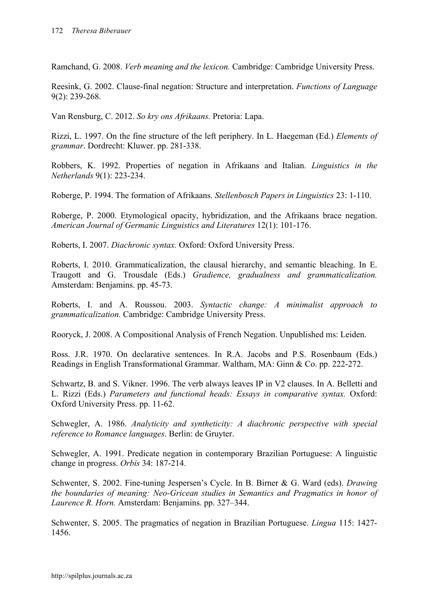Ramchand, G. 2008. *Verb meaning and the lexicon.* Cambridge: Cambridge University Press.

Reesink, G. 2002. Clause-final negation: Structure and interpretation. *Functions of Language* 9(2): 239-268.

Van Rensburg, C. 2012. *So kry ons Afrikaans.* Pretoria: Lapa.

Rizzi, L. 1997. On the fine structure of the left periphery. In L. Haegeman (Ed.) *Elements of grammar*. Dordrecht: Kluwer. pp. 281-338.

Robbers, K. 1992. Properties of negation in Afrikaans and Italian. *Linguistics in the Netherlands* 9(1): 223-234.

Roberge, P. 1994. The formation of Afrikaans. *Stellenbosch Papers in Linguistics* 23: 1-110.

Roberge, P. 2000. Etymological opacity, hybridization, and the Afrikaans brace negation. *American Journal of Germanic Linguistics and Literatures* 12(1): 101-176.

Roberts, I. 2007. *Diachronic syntax.* Oxford: Oxford University Press.

Roberts, I. 2010. Grammaticalization, the clausal hierarchy, and semantic bleaching. In E. Traugott and G. Trousdale (Eds.) *Gradience, gradualness and grammaticalization.* Amsterdam: Benjamins. pp. 45-73.

Roberts, I. and A. Roussou. 2003. *Syntactic change: A minimalist approach to grammaticalization.* Cambridge: Cambridge University Press.

Rooryck, J. 2008. A Compositional Analysis of French Negation. Unpublished ms: Leiden.

Ross. J.R. 1970. On declarative sentences. In R.A. Jacobs and P.S. Rosenbaum (Eds.) Readings in English Transformational Grammar. Waltham, MA: Ginn & Co. pp. 222-272.

Schwartz, B. and S. Vikner. 1996. The verb always leaves IP in V2 clauses. In A. Belletti and L. Rizzi (Eds.) *Parameters and functional heads: Essays in comparative syntax.* Oxford: Oxford University Press. pp. 11-62.

Schwegler, A. 1986. *Analyticity and syntheticity: A diachronic perspective with special reference to Romance languages*. Berlin: de Gruyter.

Schwegler, A. 1991. Predicate negation in contemporary Brazilian Portuguese: A linguistic change in progress. *Orbis* 34: 187-214.

Schwenter, S. 2002. Fine-tuning Jespersen's Cycle. In B. Birner & G. Ward (eds). *Drawing the boundaries of meaning: Neo-Gricean studies in Semantics and Pragmatics in honor of Laurence R. Horn.* Amsterdam: Benjamins. pp. 327–344.

Schwenter, S. 2005. The pragmatics of negation in Brazilian Portuguese. *Lingua* 115: 1427- 1456.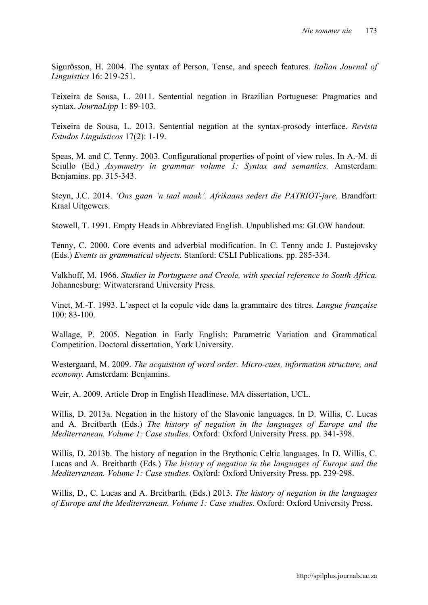Sigurðsson, H. 2004. The syntax of Person, Tense, and speech features. *Italian Journal of Linguistics* 16: 219-251.

Teixeira de Sousa, L. 2011. Sentential negation in Brazilian Portuguese: Pragmatics and syntax. *JournaLipp* 1: 89-103.

Teixeira de Sousa, L. 2013. Sentential negation at the syntax-prosody interface. *Revista Estudos Linguísticos* 17(2): 1-19.

Speas, M. and C. Tenny. 2003. Configurational properties of point of view roles. In A.-M. di Sciullo (Ed.) *Asymmetry in grammar volume 1: Syntax and semantics.* Amsterdam: Benjamins. pp. 315-343.

Steyn, J.C. 2014. *'Ons gaan 'n taal maak'. Afrikaans sedert die PATRIOT-jare.* Brandfort: Kraal Uitgewers.

Stowell, T. 1991. Empty Heads in Abbreviated English. Unpublished ms: GLOW handout.

Tenny, C. 2000. Core events and adverbial modification. In C. Tenny andc J. Pustejovsky (Eds.) *Events as grammatical objects.* Stanford: CSLI Publications. pp. 285-334.

Valkhoff, M. 1966. *Studies in Portuguese and Creole, with special reference to South Africa.*  Johannesburg: Witwatersrand University Press.

Vinet, M.-T. 1993. L'aspect et la copule vide dans la grammaire des titres. *Langue française* 100: 83-100.

Wallage, P. 2005. Negation in Early English: Parametric Variation and Grammatical Competition. Doctoral dissertation, York University.

Westergaard, M. 2009. *The acquistion of word order. Micro-cues, information structure, and economy.* Amsterdam: Benjamins.

Weir, A. 2009. Article Drop in English Headlinese. MA dissertation, UCL.

Willis, D. 2013a. Negation in the history of the Slavonic languages. In D. Willis, C. Lucas and A. Breitbarth (Eds.) *The history of negation in the languages of Europe and the Mediterranean. Volume 1: Case studies.* Oxford: Oxford University Press. pp. 341-398.

Willis, D. 2013b. The history of negation in the Brythonic Celtic languages. In D. Willis, C. Lucas and A. Breitbarth (Eds.) *The history of negation in the languages of Europe and the Mediterranean. Volume 1: Case studies.* Oxford: Oxford University Press. pp. 239-298.

Willis, D., C. Lucas and A. Breitbarth. (Eds.) 2013. *The history of negation in the languages of Europe and the Mediterranean. Volume 1: Case studies.* Oxford: Oxford University Press.